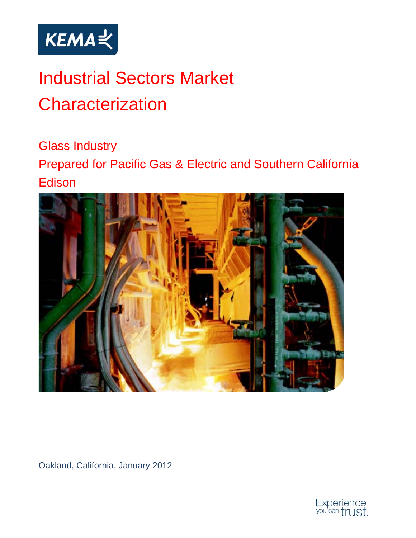

# Industrial Sectors Market **Characterization**

Glass Industry

Prepared for Pacific Gas & Electric and Southern California Edison



Oakland, California, January 2012

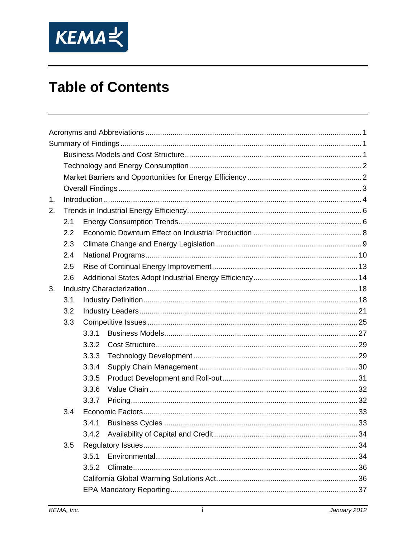

## **Table of Contents**

| $\mathbf{1}$ . |     |       |  |  |  |
|----------------|-----|-------|--|--|--|
| 2.             |     |       |  |  |  |
|                | 2.1 |       |  |  |  |
|                | 2.2 |       |  |  |  |
|                | 2.3 |       |  |  |  |
|                | 2.4 |       |  |  |  |
|                | 2.5 |       |  |  |  |
|                | 2.6 |       |  |  |  |
| 3.             |     |       |  |  |  |
|                | 3.1 |       |  |  |  |
|                | 3.2 |       |  |  |  |
|                | 3.3 |       |  |  |  |
|                |     | 3.3.1 |  |  |  |
|                |     | 3.3.2 |  |  |  |
|                |     | 3.3.3 |  |  |  |
|                |     | 3.3.4 |  |  |  |
|                |     | 3.3.5 |  |  |  |
|                |     | 3.3.6 |  |  |  |
|                |     | 3.3.7 |  |  |  |
|                | 3.4 |       |  |  |  |
|                |     | 3.4.1 |  |  |  |
|                |     |       |  |  |  |
|                | 3.5 |       |  |  |  |
|                |     | 3.5.1 |  |  |  |
|                |     | 3.5.2 |  |  |  |
|                |     |       |  |  |  |
|                |     |       |  |  |  |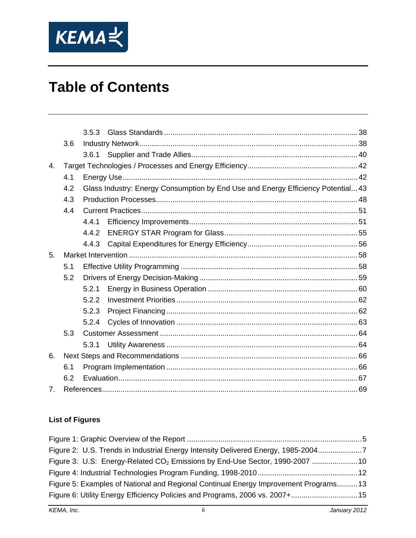

## **Table of Contents**

|                |     | 3.5.3 |                                                                                  |  |  |
|----------------|-----|-------|----------------------------------------------------------------------------------|--|--|
|                | 3.6 |       |                                                                                  |  |  |
|                |     |       |                                                                                  |  |  |
| $\mathbf{4}$ . |     |       |                                                                                  |  |  |
|                | 4.1 |       |                                                                                  |  |  |
|                | 4.2 |       | Glass Industry: Energy Consumption by End Use and Energy Efficiency Potential 43 |  |  |
|                | 4.3 |       |                                                                                  |  |  |
|                | 4.4 |       |                                                                                  |  |  |
|                |     | 4.4.1 |                                                                                  |  |  |
|                |     | 4.4.2 |                                                                                  |  |  |
|                |     | 4.4.3 |                                                                                  |  |  |
| 5.             |     |       |                                                                                  |  |  |
|                | 5.1 |       |                                                                                  |  |  |
|                | 5.2 |       |                                                                                  |  |  |
|                |     | 5.2.1 |                                                                                  |  |  |
|                |     | 5.2.2 |                                                                                  |  |  |
|                |     | 5.2.3 |                                                                                  |  |  |
|                |     | 5.2.4 |                                                                                  |  |  |
|                | 5.3 |       |                                                                                  |  |  |
|                |     | 5.3.1 |                                                                                  |  |  |
| 6.             |     |       |                                                                                  |  |  |
|                | 6.1 |       |                                                                                  |  |  |
|                | 6.2 |       |                                                                                  |  |  |
| 7 <sub>1</sub> |     |       |                                                                                  |  |  |

#### **List of Figures**

| Figure 2: U.S. Trends in Industrial Energy Intensity Delivered Energy, 1985-20047       |  |
|-----------------------------------------------------------------------------------------|--|
| Figure 3: U.S: Energy-Related CO <sub>2</sub> Emissions by End-Use Sector, 1990-2007 10 |  |
|                                                                                         |  |
| Figure 5: Examples of National and Regional Continual Energy Improvement Programs13     |  |
| Figure 6: Utility Energy Efficiency Policies and Programs, 2006 vs. 2007+15             |  |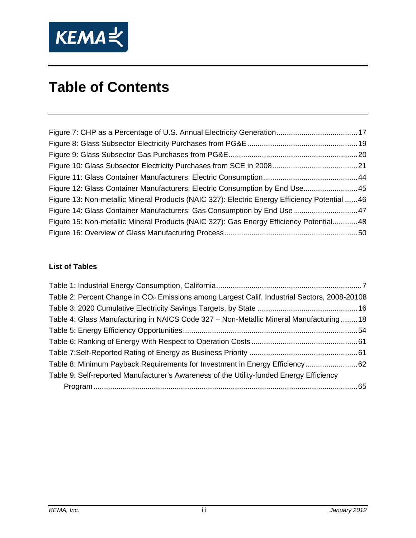

## **Table of Contents**

| Figure 12: Glass Container Manufacturers: Electric Consumption by End Use45                   |  |
|-----------------------------------------------------------------------------------------------|--|
| Figure 13: Non-metallic Mineral Products (NAIC 327): Electric Energy Efficiency Potential  46 |  |
| Figure 14: Glass Container Manufacturers: Gas Consumption by End Use 47                       |  |
| Figure 15: Non-metallic Mineral Products (NAIC 327): Gas Energy Efficiency Potential48        |  |
|                                                                                               |  |

#### **List of Tables**

| Table 2: Percent Change in CO <sub>2</sub> Emissions among Largest Calif. Industrial Sectors, 2008-20108 |  |
|----------------------------------------------------------------------------------------------------------|--|
|                                                                                                          |  |
| Table 4: Glass Manufacturing in NAICS Code 327 - Non-Metallic Mineral Manufacturing18                    |  |
|                                                                                                          |  |
|                                                                                                          |  |
|                                                                                                          |  |
| Table 8: Minimum Payback Requirements for Investment in Energy Efficiency62                              |  |
| Table 9: Self-reported Manufacturer's Awareness of the Utility-funded Energy Efficiency                  |  |
|                                                                                                          |  |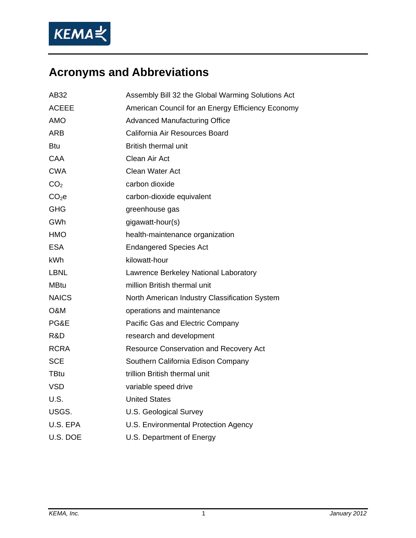

## **Acronyms and Abbreviations**

| AB32              | Assembly Bill 32 the Global Warming Solutions Act |
|-------------------|---------------------------------------------------|
| <b>ACEEE</b>      | American Council for an Energy Efficiency Economy |
| <b>AMO</b>        | <b>Advanced Manufacturing Office</b>              |
| ARB               | California Air Resources Board                    |
| Btu               | <b>British thermal unit</b>                       |
| CAA               | Clean Air Act                                     |
| CWA               | <b>Clean Water Act</b>                            |
| CO <sub>2</sub>   | carbon dioxide                                    |
| CO <sub>2</sub> e | carbon-dioxide equivalent                         |
| <b>GHG</b>        | greenhouse gas                                    |
| GWh               | gigawatt-hour(s)                                  |
| <b>HMO</b>        | health-maintenance organization                   |
| <b>ESA</b>        | <b>Endangered Species Act</b>                     |
| kWh               | kilowatt-hour                                     |
| LBNL              | Lawrence Berkeley National Laboratory             |
| <b>MBtu</b>       | million British thermal unit                      |
| <b>NAICS</b>      | North American Industry Classification System     |
| O&M               | operations and maintenance                        |
| PG&E              | Pacific Gas and Electric Company                  |
| R&D               | research and development                          |
| <b>RCRA</b>       | Resource Conservation and Recovery Act            |
| <b>SCE</b>        | Southern California Edison Company                |
| <b>TBtu</b>       | trillion British thermal unit                     |
| <b>VSD</b>        | variable speed drive                              |
| U.S.              | <b>United States</b>                              |
| USGS.             | <b>U.S. Geological Survey</b>                     |
| U.S. EPA          | U.S. Environmental Protection Agency              |
| U.S. DOE          | U.S. Department of Energy                         |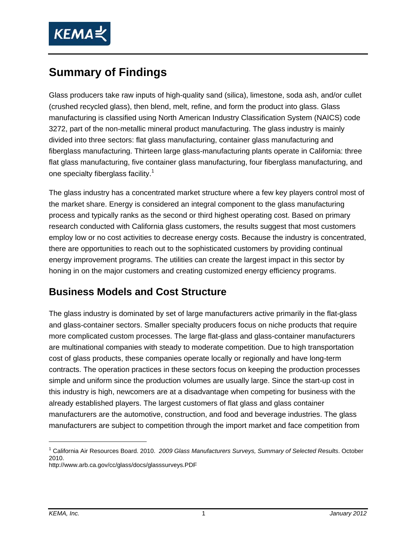

## **Summary of Findings**

Glass producers take raw inputs of high-quality sand (silica), limestone, soda ash, and/or cullet (crushed recycled glass), then blend, melt, refine, and form the product into glass. Glass manufacturing is classified using North American Industry Classification System (NAICS) code 3272, part of the non-metallic mineral product manufacturing. The glass industry is mainly divided into three sectors: flat glass manufacturing, container glass manufacturing and fiberglass manufacturing. Thirteen large glass-manufacturing plants operate in California: three flat glass manufacturing, five container glass manufacturing, four fiberglass manufacturing, and one specialty fiberglass facility.<sup>1</sup>

The glass industry has a concentrated market structure where a few key players control most of the market share. Energy is considered an integral component to the glass manufacturing process and typically ranks as the second or third highest operating cost. Based on primary research conducted with California glass customers, the results suggest that most customers employ low or no cost activities to decrease energy costs. Because the industry is concentrated, there are opportunities to reach out to the sophisticated customers by providing continual energy improvement programs. The utilities can create the largest impact in this sector by honing in on the major customers and creating customized energy efficiency programs.

### **Business Models and Cost Structure**

The glass industry is dominated by set of large manufacturers active primarily in the flat-glass and glass-container sectors. Smaller specialty producers focus on niche products that require more complicated custom processes. The large flat-glass and glass-container manufacturers are multinational companies with steady to moderate competition. Due to high transportation cost of glass products, these companies operate locally or regionally and have long-term contracts. The operation practices in these sectors focus on keeping the production processes simple and uniform since the production volumes are usually large. Since the start-up cost in this industry is high, newcomers are at a disadvantage when competing for business with the already established players. The largest customers of flat glass and glass container manufacturers are the automotive, construction, and food and beverage industries. The glass manufacturers are subject to competition through the import market and face competition from

 $\overline{a}$ 

<sup>&</sup>lt;sup>1</sup> California Air Resources Board. 2010. 2009 Glass Manufacturers Surveys, Summary of Selected Results. October 2010.

http://www.arb.ca.gov/cc/glass/docs/glasssurveys.PDF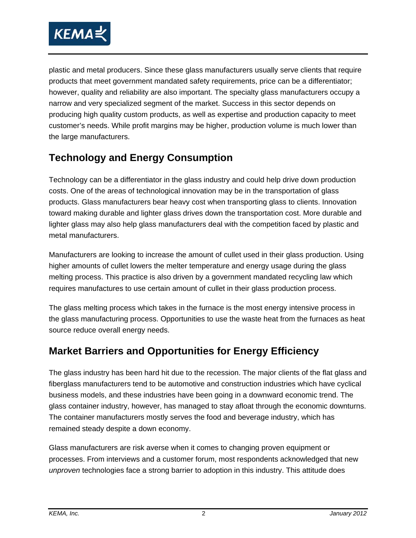

plastic and metal producers. Since these glass manufacturers usually serve clients that require products that meet government mandated safety requirements, price can be a differentiator; however, quality and reliability are also important. The specialty glass manufacturers occupy a narrow and very specialized segment of the market. Success in this sector depends on producing high quality custom products, as well as expertise and production capacity to meet customer's needs. While profit margins may be higher, production volume is much lower than the large manufacturers.

## **Technology and Energy Consumption**

Technology can be a differentiator in the glass industry and could help drive down production costs. One of the areas of technological innovation may be in the transportation of glass products. Glass manufacturers bear heavy cost when transporting glass to clients. Innovation toward making durable and lighter glass drives down the transportation cost. More durable and lighter glass may also help glass manufacturers deal with the competition faced by plastic and metal manufacturers.

Manufacturers are looking to increase the amount of cullet used in their glass production. Using higher amounts of cullet lowers the melter temperature and energy usage during the glass melting process. This practice is also driven by a government mandated recycling law which requires manufactures to use certain amount of cullet in their glass production process.

The glass melting process which takes in the furnace is the most energy intensive process in the glass manufacturing process. Opportunities to use the waste heat from the furnaces as heat source reduce overall energy needs.

## **Market Barriers and Opportunities for Energy Efficiency**

The glass industry has been hard hit due to the recession. The major clients of the flat glass and fiberglass manufacturers tend to be automotive and construction industries which have cyclical business models, and these industries have been going in a downward economic trend. The glass container industry, however, has managed to stay afloat through the economic downturns. The container manufacturers mostly serves the food and beverage industry, which has remained steady despite a down economy.

Glass manufacturers are risk averse when it comes to changing proven equipment or processes. From interviews and a customer forum, most respondents acknowledged that new *unproven* technologies face a strong barrier to adoption in this industry. This attitude does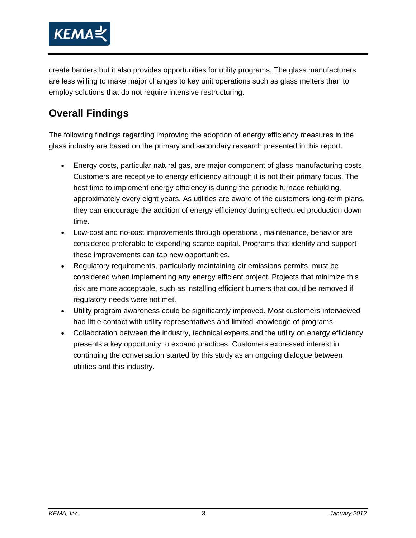

create barriers but it also provides opportunities for utility programs. The glass manufacturers are less willing to make major changes to key unit operations such as glass melters than to employ solutions that do not require intensive restructuring.

## **Overall Findings**

The following findings regarding improving the adoption of energy efficiency measures in the glass industry are based on the primary and secondary research presented in this report.

- Energy costs, particular natural gas, are major component of glass manufacturing costs. Customers are receptive to energy efficiency although it is not their primary focus. The best time to implement energy efficiency is during the periodic furnace rebuilding, approximately every eight years. As utilities are aware of the customers long-term plans, they can encourage the addition of energy efficiency during scheduled production down time.
- Low-cost and no-cost improvements through operational, maintenance, behavior are considered preferable to expending scarce capital. Programs that identify and support these improvements can tap new opportunities.
- Regulatory requirements, particularly maintaining air emissions permits, must be considered when implementing any energy efficient project. Projects that minimize this risk are more acceptable, such as installing efficient burners that could be removed if regulatory needs were not met.
- Utility program awareness could be significantly improved. Most customers interviewed had little contact with utility representatives and limited knowledge of programs.
- Collaboration between the industry, technical experts and the utility on energy efficiency presents a key opportunity to expand practices. Customers expressed interest in continuing the conversation started by this study as an ongoing dialogue between utilities and this industry.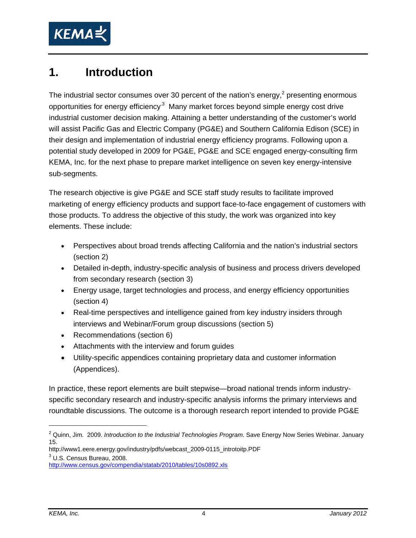

## **1. Introduction**

The industrial sector consumes over 30 percent of the nation's energy,<sup>2</sup> presenting enormous opportunities for energy efficiency<sup>3</sup> Many market forces beyond simple energy cost drive industrial customer decision making. Attaining a better understanding of the customer's world will assist Pacific Gas and Electric Company (PG&E) and Southern California Edison (SCE) in their design and implementation of industrial energy efficiency programs. Following upon a potential study developed in 2009 for PG&E, PG&E and SCE engaged energy-consulting firm KEMA, Inc. for the next phase to prepare market intelligence on seven key energy-intensive sub-segments.

The research objective is give PG&E and SCE staff study results to facilitate improved marketing of energy efficiency products and support face-to-face engagement of customers with those products. To address the objective of this study, the work was organized into key elements. These include:

- Perspectives about broad trends affecting California and the nation's industrial sectors (section 2)
- Detailed in-depth, industry-specific analysis of business and process drivers developed from secondary research (section 3)
- Energy usage, target technologies and process, and energy efficiency opportunities (section 4)
- Real-time perspectives and intelligence gained from key industry insiders through interviews and Webinar/Forum group discussions (section 5)
- Recommendations (section 6)
- Attachments with the interview and forum guides
- Utility-specific appendices containing proprietary data and customer information (Appendices).

In practice, these report elements are built stepwise—broad national trends inform industryspecific secondary research and industry-specific analysis informs the primary interviews and roundtable discussions. The outcome is a thorough research report intended to provide PG&E

http://www1.eere.energy.gov/industry/pdfs/webcast\_2009-0115\_introtoitp.PDF 3  $3$  U.S. Census Bureau, 2008.

 $\overline{a}$ 

<sup>2</sup> Quinn, Jim. 2009. *Introduction to the Industrial Technologies Program*. Save Energy Now Series Webinar. January 15.

http://www.census.gov/compendia/statab/2010/tables/10s0892.xls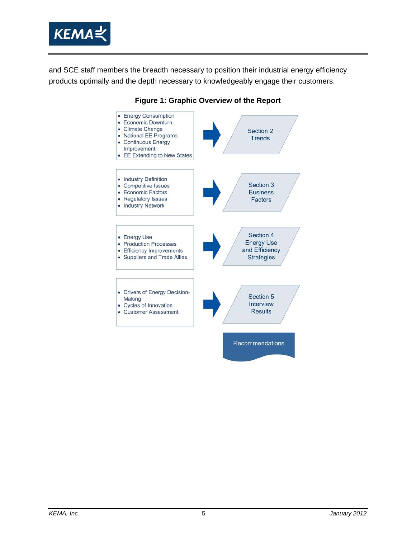

and SCE staff members the breadth necessary to position their industrial energy efficiency products optimally and the depth necessary to knowledgeably engage their customers.



#### **Figure 1: Graphic Overview of the Report**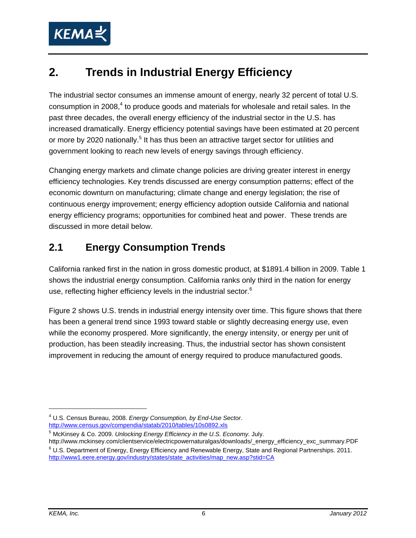

## **2. Trends in Industrial Energy Efficiency**

The industrial sector consumes an immense amount of energy, nearly 32 percent of total U.S. consumption in 2008, $4$  to produce goods and materials for wholesale and retail sales. In the past three decades, the overall energy efficiency of the industrial sector in the U.S. has increased dramatically. Energy efficiency potential savings have been estimated at 20 percent or more by 2020 nationally.<sup>5</sup> It has thus been an attractive target sector for utilities and government looking to reach new levels of energy savings through efficiency.

Changing energy markets and climate change policies are driving greater interest in energy efficiency technologies. Key trends discussed are energy consumption patterns; effect of the economic downturn on manufacturing; climate change and energy legislation; the rise of continuous energy improvement; energy efficiency adoption outside California and national energy efficiency programs; opportunities for combined heat and power. These trends are discussed in more detail below.

## **2.1 Energy Consumption Trends**

California ranked first in the nation in gross domestic product, at \$1891.4 billion in 2009. Table 1 shows the industrial energy consumption. California ranks only third in the nation for energy use, reflecting higher efficiency levels in the industrial sector.<sup>6</sup>

Figure 2 shows U.S. trends in industrial energy intensity over time. This figure shows that there has been a general trend since 1993 toward stable or slightly decreasing energy use, even while the economy prospered. More significantly, the energy intensity, or energy per unit of production, has been steadily increasing. Thus, the industrial sector has shown consistent improvement in reducing the amount of energy required to produce manufactured goods.

<sup>4</sup> U.S. Census Bureau, 2008. *Energy Consumption, by End-Use Sector*. http://www.census.gov/compendia/statab/2010/tables/10s0892.xls

<sup>5</sup> McKinsey & Co. 2009. *Unlocking Energy Efficiency in the U.S. Economy.* July.

http://www.mckinsey.com/clientservice/electricpowernaturalgas/downloads/\_energy\_efficiency\_exc\_summary.PDF U.S. Department of Energy, Energy Efficiency and Renewable Energy, State and Regional Partnerships. 2011. http://www1.eere.energy.gov/industry/states/state\_activities/map\_new.asp?stid=CA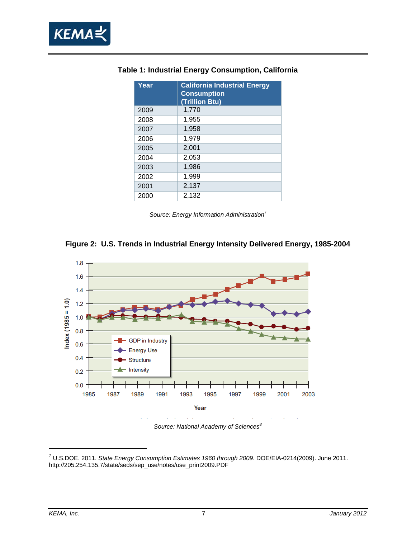

| Year | <b>California Industrial Energy</b><br><b>Consumption</b><br>(Trillion Btu) |
|------|-----------------------------------------------------------------------------|
| 2009 | 1,770                                                                       |
| 2008 | 1,955                                                                       |
| 2007 | 1,958                                                                       |
| 2006 | 1,979                                                                       |
| 2005 | 2,001                                                                       |
| 2004 | 2,053                                                                       |
| 2003 | 1,986                                                                       |
| 2002 | 1,999                                                                       |
| 2001 | 2,137                                                                       |
| 2000 | 2,132                                                                       |

#### **Table 1: Industrial Energy Consumption, California**

*Source: Energy Information Administration7*





<sup>7</sup> U.S.DOE. 2011. *State Energy Consumption Estimates 1960 through 2009*. DOE/EIA-0214(2009). June 2011. http://205.254.135.7/state/seds/sep\_use/notes/use\_print2009.PDF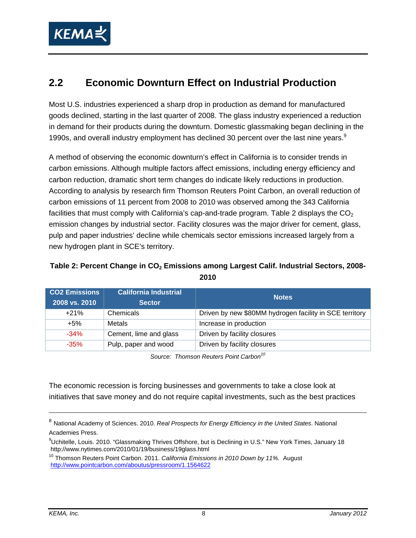

### **2.2 Economic Downturn Effect on Industrial Production**

Most U.S. industries experienced a sharp drop in production as demand for manufactured goods declined, starting in the last quarter of 2008. The glass industry experienced a reduction in demand for their products during the downturn. Domestic glassmaking began declining in the 1990s, and overall industry employment has declined 30 percent over the last nine years. $9$ 

A method of observing the economic downturn's effect in California is to consider trends in carbon emissions. Although multiple factors affect emissions, including energy efficiency and carbon reduction, dramatic short term changes do indicate likely reductions in production. According to analysis by research firm Thomson Reuters Point Carbon, an overall reduction of carbon emissions of 11 percent from 2008 to 2010 was observed among the 343 California facilities that must comply with California's cap-and-trade program. Table 2 displays the  $CO<sub>2</sub>$ emission changes by industrial sector. Facility closures was the major driver for cement, glass, pulp and paper industries' decline while chemicals sector emissions increased largely from a new hydrogen plant in SCE's territory.

#### Table 2: Percent Change in CO<sub>2</sub> Emissions among Largest Calif. Industrial Sectors, 2008-**2010**

| <b>CO2 Emissions</b><br>2008 vs. 2010 | <b>California Industrial</b><br><b>Sector</b> | <b>Notes</b>                                            |
|---------------------------------------|-----------------------------------------------|---------------------------------------------------------|
| $+21%$                                | Chemicals                                     | Driven by new \$80MM hydrogen facility in SCE territory |
| $+5%$                                 | Metals                                        | Increase in production                                  |
| $-34%$                                | Cement, lime and glass                        | Driven by facility closures                             |
| $-35%$                                | Pulp, paper and wood                          | Driven by facility closures                             |

*Source: Thomson Reuters Point Carbon10*

The economic recession is forcing businesses and governments to take a close look at initiatives that save money and do not require capital investments, such as the best practices

<sup>8</sup> National Academy of Sciences. 2010. *Real Prospects for Energy Efficiency in the United States*. National Academies Press.

 $9$ Uchitelle, Louis. 2010. "Glassmaking Thrives Offshore, but is Declining in U.S." New York Times, January 18 http://www.nytimes.com/2010/01/19/business/19glass.html

<sup>10</sup> Thomson Reuters Point Carbon. 2011. *California Emissions in 2010 Down by 11%.* August http://www.pointcarbon.com/aboutus/pressroom/1.1564622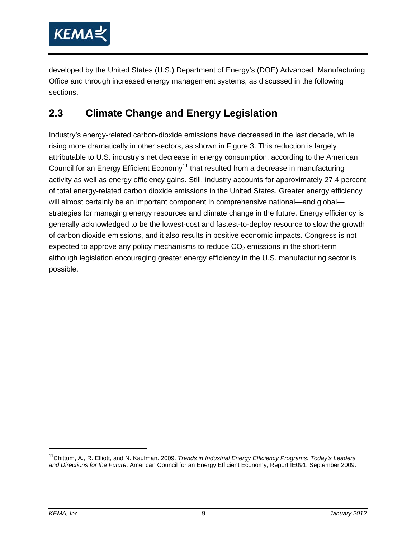

developed by the United States (U.S.) Department of Energy's (DOE) Advanced Manufacturing Office and through increased energy management systems, as discussed in the following sections.

## **2.3 Climate Change and Energy Legislation**

Industry's energy-related carbon-dioxide emissions have decreased in the last decade, while rising more dramatically in other sectors, as shown in Figure 3. This reduction is largely attributable to U.S. industry's net decrease in energy consumption, according to the American Council for an Energy Efficient Economy<sup>11</sup> that resulted from a decrease in manufacturing activity as well as energy efficiency gains. Still, industry accounts for approximately 27.4 percent of total energy-related carbon dioxide emissions in the United States. Greater energy efficiency will almost certainly be an important component in comprehensive national—and global strategies for managing energy resources and climate change in the future. Energy efficiency is generally acknowledged to be the lowest-cost and fastest-to-deploy resource to slow the growth of carbon dioxide emissions, and it also results in positive economic impacts. Congress is not expected to approve any policy mechanisms to reduce  $CO<sub>2</sub>$  emissions in the short-term although legislation encouraging greater energy efficiency in the U.S. manufacturing sector is possible.

<sup>11</sup>Chittum, A., R. Elliott, and N. Kaufman. 2009. *Trends in Industrial Energy Efficiency Programs: Today's Leaders and Directions for the Future*. American Council for an Energy Efficient Economy, Report IE091. September 2009.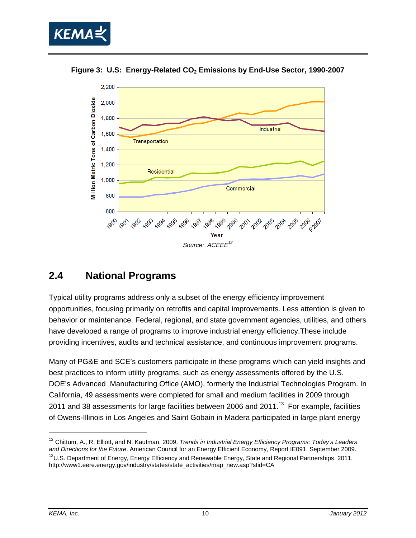





### **2.4 National Programs**

Typical utility programs address only a subset of the energy efficiency improvement opportunities, focusing primarily on retrofits and capital improvements. Less attention is given to behavior or maintenance. Federal, regional, and state government agencies, utilities, and others have developed a range of programs to improve industrial energy efficiency.These include providing incentives, audits and technical assistance, and continuous improvement programs.

Many of PG&E and SCE's customers participate in these programs which can yield insights and best practices to inform utility programs, such as energy assessments offered by the U.S. DOE's Advanced Manufacturing Office (AMO), formerly the Industrial Technologies Program. In California, 49 assessments were completed for small and medium facilities in 2009 through 2011 and 38 assessments for large facilities between 2006 and 2011.<sup>13</sup> For example, facilities of Owens-Illinois in Los Angeles and Saint Gobain in Madera participated in large plant energy

-

<sup>&</sup>lt;sup>12</sup> Chittum, A., R. Elliott, and N. Kaufman. 2009. *Trends in Industrial Energy Efficiency Programs: Today's Leaders*<br>and Directions for the Future. American Council for an Energy Efficient Economy, Report IE091. Septembe <sup>13</sup>U.S. Department of Energy, Energy Efficiency and Renewable Energy, State and Regional Partnerships. 2011. http://www1.eere.energy.gov/industry/states/state\_activities/map\_new.asp?stid=CA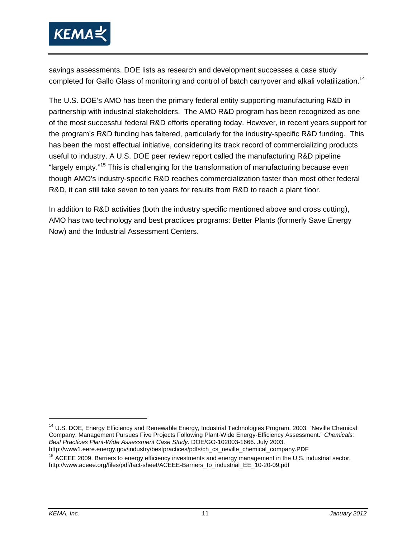

savings assessments. DOE lists as research and development successes a case study completed for Gallo Glass of monitoring and control of batch carryover and alkali volatilization.14

The U.S. DOE's AMO has been the primary federal entity supporting manufacturing R&D in partnership with industrial stakeholders. The AMO R&D program has been recognized as one of the most successful federal R&D efforts operating today. However, in recent years support for the program's R&D funding has faltered, particularly for the industry-specific R&D funding. This has been the most effectual initiative, considering its track record of commercializing products useful to industry. A U.S. DOE peer review report called the manufacturing R&D pipeline "largely empty."15 This is challenging for the transformation of manufacturing because even though AMO's industry-specific R&D reaches commercialization faster than most other federal R&D, it can still take seven to ten years for results from R&D to reach a plant floor.

In addition to R&D activities (both the industry specific mentioned above and cross cutting), AMO has two technology and best practices programs: Better Plants (formerly Save Energy Now) and the Industrial Assessment Centers.

-

<sup>&</sup>lt;sup>14</sup> U.S. DOE, Energy Efficiency and Renewable Energy, Industrial Technologies Program. 2003. "Neville Chemical Company: Management Pursues Five Projects Following Plant-Wide Energy-Efficiency Assessment." *Chemicals: Best Practices Plant-Wide Assessment Case Study.* DOE/GO-102003-1666. July 2003.

<sup>&</sup>lt;sup>15</sup> ACEEE 2009. Barriers to energy efficiency investments and energy management in the U.S. industrial sector. http://www.aceee.org/files/pdf/fact-sheet/ACEEE-Barriers\_to\_industrial\_EE\_10-20-09.pdf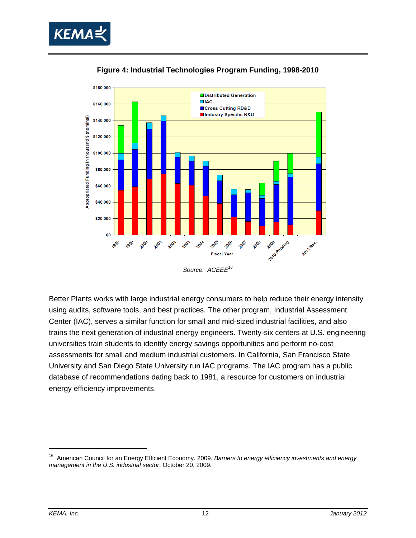



**Figure 4: Industrial Technologies Program Funding, 1998-2010** 

Better Plants works with large industrial energy consumers to help reduce their energy intensity using audits, software tools, and best practices. The other program, Industrial Assessment Center (IAC), serves a similar function for small and mid-sized industrial facilities, and also trains the next generation of industrial energy engineers. Twenty-six centers at U.S. engineering universities train students to identify energy savings opportunities and perform no-cost assessments for small and medium industrial customers. In California, San Francisco State University and San Diego State University run IAC programs. The IAC program has a public database of recommendations dating back to 1981, a resource for customers on industrial energy efficiency improvements.

<sup>16</sup> American Council for an Energy Efficient Economy. 2009. *Barriers to energy efficiency investments and energy management in the U.S. industrial sector*. October 20, 2009.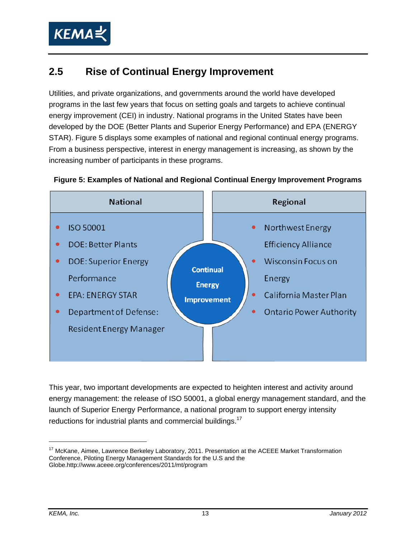

## **2.5 Rise of Continual Energy Improvement**

Utilities, and private organizations, and governments around the world have developed programs in the last few years that focus on setting goals and targets to achieve continual energy improvement (CEI) in industry. National programs in the United States have been developed by the DOE (Better Plants and Superior Energy Performance) and EPA (ENERGY STAR). Figure 5 displays some examples of national and regional continual energy programs. From a business perspective, interest in energy management is increasing, as shown by the increasing number of participants in these programs.



#### **Figure 5: Examples of National and Regional Continual Energy Improvement Programs**

This year, two important developments are expected to heighten interest and activity around energy management: the release of ISO 50001, a global energy management standard, and the launch of Superior Energy Performance, a national program to support energy intensity reductions for industrial plants and commercial buildings.<sup>17</sup>

 $\overline{a}$ 

<sup>&</sup>lt;sup>17</sup> McKane, Aimee, Lawrence Berkeley Laboratory, 2011. Presentation at the ACEEE Market Transformation Conference, Piloting Energy Management Standards for the U.S and the Globe.http://www.aceee.org/conferences/2011/mt/program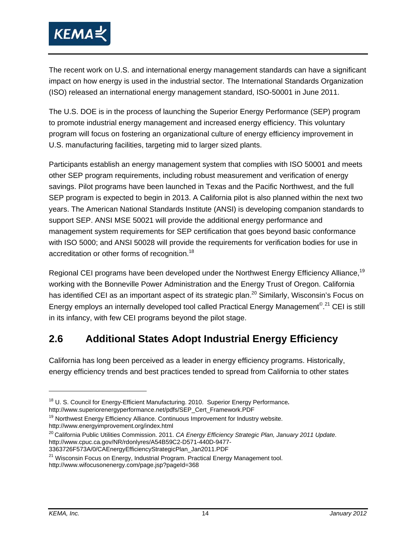

The recent work on U.S. and international energy management standards can have a significant impact on how energy is used in the industrial sector. The International Standards Organization (ISO) released an international energy management standard, ISO-50001 in June 2011.

The U.S. DOE is in the process of launching the Superior Energy Performance (SEP) program to promote industrial energy management and increased energy efficiency. This voluntary program will focus on fostering an organizational culture of energy efficiency improvement in U.S. manufacturing facilities, targeting mid to larger sized plants.

Participants establish an energy management system that complies with ISO 50001 and meets other SEP program requirements, including robust measurement and verification of energy savings. Pilot programs have been launched in Texas and the Pacific Northwest, and the full SEP program is expected to begin in 2013. A California pilot is also planned within the next two years. The American National Standards Institute (ANSI) is developing companion standards to support SEP. ANSI MSE 50021 will provide the additional energy performance and management system requirements for SEP certification that goes beyond basic conformance with ISO 5000; and ANSI 50028 will provide the requirements for verification bodies for use in accreditation or other forms of recognition.<sup>18</sup>

Regional CEI programs have been developed under the Northwest Energy Efficiency Alliance,<sup>19</sup> working with the Bonneville Power Administration and the Energy Trust of Oregon. California has identified CEI as an important aspect of its strategic plan.<sup>20</sup> Similarly, Wisconsin's Focus on Energy employs an internally developed tool called Practical Energy Management<sup>© 21</sup> CEI is still in its infancy, with few CEI programs beyond the pilot stage.

## **2.6 Additional States Adopt Industrial Energy Efficiency**

California has long been perceived as a leader in energy efficiency programs. Historically, energy efficiency trends and best practices tended to spread from California to other states

<sup>&</sup>lt;sup>18</sup> U. S. Council for Energy-Efficient Manufacturing. 2010. Superior Energy Performance.<br>http://www.superiorenergyperformance.net/pdfs/SEP\_Cert\_Framework.PDF

<sup>&</sup>lt;sup>19</sup> Northwest Energy Efficiency Alliance. Continuous Improvement for Industry website.<br>http://www.energy improvement org/index.html

<sup>&</sup>lt;sup>20</sup> California Public Utilities Commission. 2011. CA Energy Efficiency Strategic Plan, January 2011 Update. http://www.cpuc.ca.gov/NR/rdonlyres/A54B59C2-D571-440D-9477-

<sup>3363726</sup>F573A/0/CAEnergyEfficiencyStrategicPlan\_Jan2011.PDF

 $21$  Wisconsin Focus on Energy, Industrial Program. Practical Energy Management tool. http://www.wifocusonenergy.com/page.jsp?pageId=368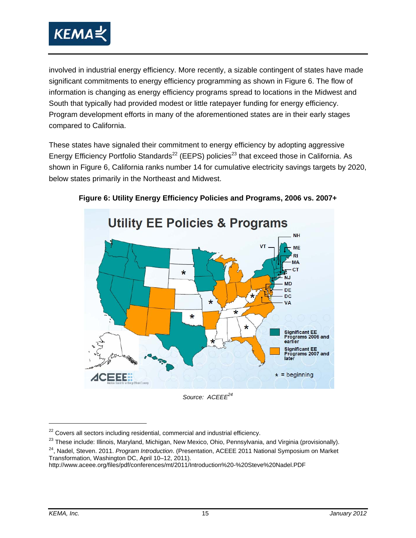

involved in industrial energy efficiency. More recently, a sizable contingent of states have made significant commitments to energy efficiency programming as shown in Figure 6. The flow of information is changing as energy efficiency programs spread to locations in the Midwest and South that typically had provided modest or little ratepayer funding for energy efficiency. Program development efforts in many of the aforementioned states are in their early stages compared to California.

These states have signaled their commitment to energy efficiency by adopting aggressive Energy Efficiency Portfolio Standards<sup>22</sup> (EEPS) policies<sup>23</sup> that exceed those in California. As shown in Figure 6, California ranks number 14 for cumulative electricity savings targets by 2020, below states primarily in the Northeast and Midwest.



#### **Figure 6: Utility Energy Efficiency Policies and Programs, 2006 vs. 2007+**

Source: ACEEE<sup>24</sup>

 $22$  Covers all sectors including residential, commercial and industrial efficiency.

<sup>&</sup>lt;sup>23</sup> These include: Illinois, Maryland, Michigan, New Mexico, Ohio, Pennsylvania, and Virginia (provisionally).<br><sup>24</sup>, Nadel, Steven. 2011. *Program Introduction*. (Presentation, ACEEE 2011 National Symposium on Market

Transformation, Washington DC, April 10–12, 2011).

http://www.aceee.org/files/pdf/conferences/mt/2011/Introduction%20-%20Steve%20Nadel.PDF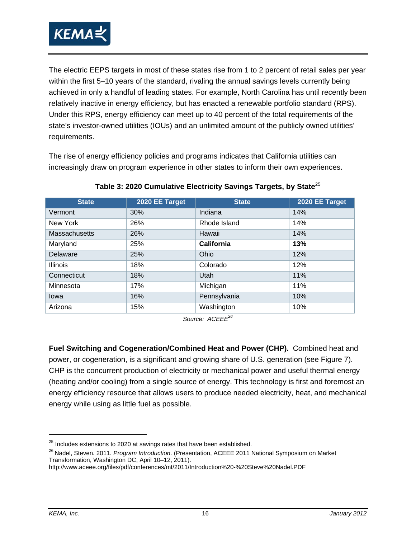

The electric EEPS targets in most of these states rise from 1 to 2 percent of retail sales per year within the first 5–10 years of the standard, rivaling the annual savings levels currently being achieved in only a handful of leading states. For example, North Carolina has until recently been relatively inactive in energy efficiency, but has enacted a renewable portfolio standard (RPS). Under this RPS, energy efficiency can meet up to 40 percent of the total requirements of the state's investor-owned utilities (IOUs) and an unlimited amount of the publicly owned utilities' requirements.

The rise of energy efficiency policies and programs indicates that California utilities can increasingly draw on program experience in other states to inform their own experiences.

| <b>State</b>    | 2020 EE Target | <b>State</b> | 2020 EE Target |
|-----------------|----------------|--------------|----------------|
| Vermont         | 30%            | Indiana      | 14%            |
| New York        | 26%            | Rhode Island | 14%            |
| Massachusetts   | 26%            | Hawaii       | 14%            |
| Maryland        | 25%            | California   | 13%            |
| Delaware        | 25%            | Ohio         | 12%            |
| <b>Illinois</b> | 18%            | Colorado     | 12%            |
| Connecticut     | 18%            | Utah         | 11%            |
| Minnesota       | 17%            | Michigan     | 11%            |
| lowa            | 16%            | Pennsylvania | 10%            |
| Arizona         | 15%            | Washington   | 10%            |

**Table 3: 2020 Cumulative Electricity Savings Targets, by State**<sup>25</sup>

Source: ACEEF<sup>26</sup>

**Fuel Switching and Cogeneration/Combined Heat and Power (CHP).** Combined heat and power, or cogeneration, is a significant and growing share of U.S. generation (see Figure 7). CHP is the concurrent production of electricity or mechanical power and useful thermal energy (heating and/or cooling) from a single source of energy. This technology is first and foremost an energy efficiency resource that allows users to produce needed electricity, heat, and mechanical energy while using as little fuel as possible.

 $25$  Includes extensions to 2020 at savings rates that have been established.

<sup>26</sup> Nadel, Steven. 2011. *Program Introduction*. (Presentation, ACEEE 2011 National Symposium on Market Transformation, Washington DC, April 10–12, 2011).

http://www.aceee.org/files/pdf/conferences/mt/2011/Introduction%20-%20Steve%20Nadel.PDF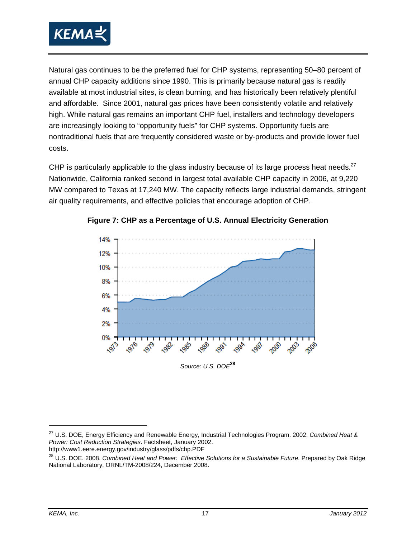

Natural gas continues to be the preferred fuel for CHP systems, representing 50–80 percent of annual CHP capacity additions since 1990. This is primarily because natural gas is readily available at most industrial sites, is clean burning, and has historically been relatively plentiful and affordable. Since 2001, natural gas prices have been consistently volatile and relatively high. While natural gas remains an important CHP fuel, installers and technology developers are increasingly looking to "opportunity fuels" for CHP systems. Opportunity fuels are nontraditional fuels that are frequently considered waste or by-products and provide lower fuel costs.

CHP is particularly applicable to the glass industry because of its large process heat needs.<sup>27</sup> Nationwide, California ranked second in largest total available CHP capacity in 2006, at 9,220 MW compared to Texas at 17,240 MW. The capacity reflects large industrial demands, stringent air quality requirements, and effective policies that encourage adoption of CHP.



**Figure 7: CHP as a Percentage of U.S. Annual Electricity Generation**

27 U.S. DOE, Energy Efficiency and Renewable Energy, Industrial Technologies Program. 2002. *Combined Heat & Power: Cost Reduction Strategies*. Factsheet, January 2002.

http://www1.eere.energy.gov/industry/glass/pdfs/chp.PDF

 $\overline{a}$ 

<sup>28</sup> U.S. DOE. 2008. *Combined Heat and Power: Effective Solutions for a Sustainable Future*. Prepared by Oak Ridge National Laboratory, ORNL/TM-2008/224, December 2008.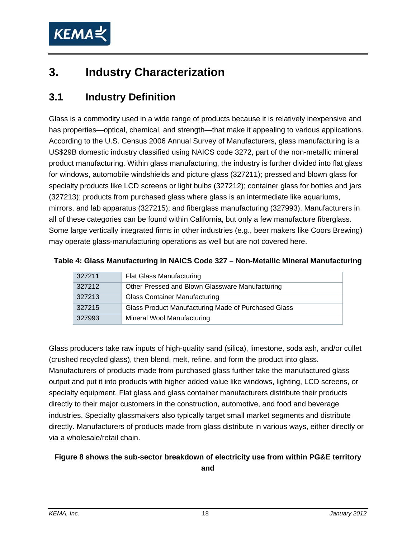

## **3. Industry Characterization**

### **3.1 Industry Definition**

Glass is a commodity used in a wide range of products because it is relatively inexpensive and has properties—optical, chemical, and strength—that make it appealing to various applications. According to the U.S. Census 2006 Annual Survey of Manufacturers, glass manufacturing is a US\$29B domestic industry classified using NAICS code 3272, part of the non-metallic mineral product manufacturing. Within glass manufacturing, the industry is further divided into flat glass for windows, automobile windshields and picture glass (327211); pressed and blown glass for specialty products like LCD screens or light bulbs (327212); container glass for bottles and jars (327213); products from purchased glass where glass is an intermediate like aquariums, mirrors, and lab apparatus (327215); and fiberglass manufacturing (327993). Manufacturers in all of these categories can be found within California, but only a few manufacture fiberglass. Some large vertically integrated firms in other industries (e.g., beer makers like Coors Brewing) may operate glass-manufacturing operations as well but are not covered here.

|        | Table 4: Glass Manufacturing in NAICS Code 327 - Non-Metallic Mineral Manufacturing |  |
|--------|-------------------------------------------------------------------------------------|--|
| 327211 | Flat Glass Manufacturing                                                            |  |

| 327211 | <b>Flat Glass Manufacturing</b>                     |
|--------|-----------------------------------------------------|
| 327212 | Other Pressed and Blown Glassware Manufacturing     |
| 327213 | <b>Glass Container Manufacturing</b>                |
| 327215 | Glass Product Manufacturing Made of Purchased Glass |
| 327993 | Mineral Wool Manufacturing                          |

Glass producers take raw inputs of high-quality sand (silica), limestone, soda ash, and/or cullet (crushed recycled glass), then blend, melt, refine, and form the product into glass. Manufacturers of products made from purchased glass further take the manufactured glass output and put it into products with higher added value like windows, lighting, LCD screens, or specialty equipment. Flat glass and glass container manufacturers distribute their products directly to their major customers in the construction, automotive, and food and beverage industries. Specialty glassmakers also typically target small market segments and distribute directly. Manufacturers of products made from glass distribute in various ways, either directly or via a wholesale/retail chain.

#### **Figure 8 shows the sub-sector breakdown of electricity use from within PG&E territory**

**and**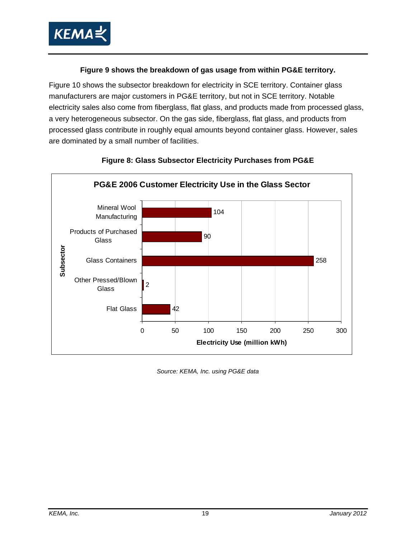

#### **Figure 9 shows the breakdown of gas usage from within PG&E territory.**

Figure 10 shows the subsector breakdown for electricity in SCE territory. Container glass manufacturers are major customers in PG&E territory, but not in SCE territory. Notable electricity sales also come from fiberglass, flat glass, and products made from processed glass, a very heterogeneous subsector. On the gas side, fiberglass, flat glass, and products from processed glass contribute in roughly equal amounts beyond container glass. However, sales are dominated by a small number of facilities.



#### **Figure 8: Glass Subsector Electricity Purchases from PG&E**

*Source: KEMA, Inc. using PG&E data*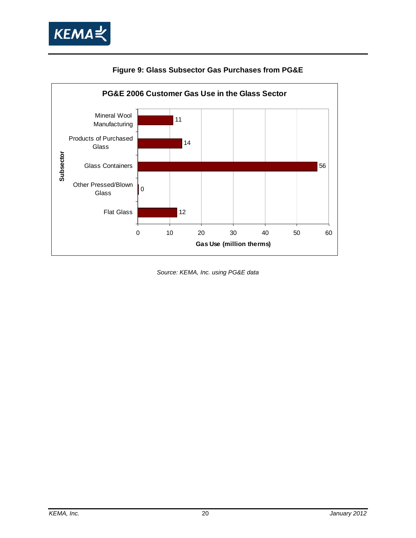



#### **Figure 9: Glass Subsector Gas Purchases from PG&E**

*Source: KEMA, Inc. using PG&E data*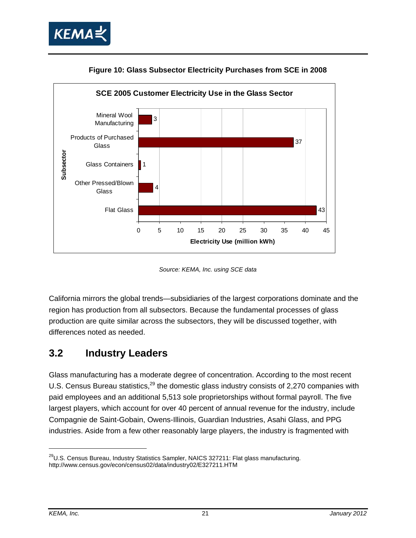





*Source: KEMA, Inc. using SCE data* 

California mirrors the global trends—subsidiaries of the largest corporations dominate and the region has production from all subsectors. Because the fundamental processes of glass production are quite similar across the subsectors, they will be discussed together, with differences noted as needed.

#### **3.2 Industry Leaders**

Glass manufacturing has a moderate degree of concentration. According to the most recent U.S. Census Bureau statistics,  $^{29}$  the domestic glass industry consists of 2,270 companies with paid employees and an additional 5,513 sole proprietorships without formal payroll. The five largest players, which account for over 40 percent of annual revenue for the industry, include Compagnie de Saint-Gobain, Owens-Illinois, Guardian Industries, Asahi Glass, and PPG industries. Aside from a few other reasonably large players, the industry is fragmented with

-

 $29$ U.S. Census Bureau, Industry Statistics Sampler, NAICS 327211: Flat glass manufacturing. http://www.census.gov/econ/census02/data/industry02/E327211.HTM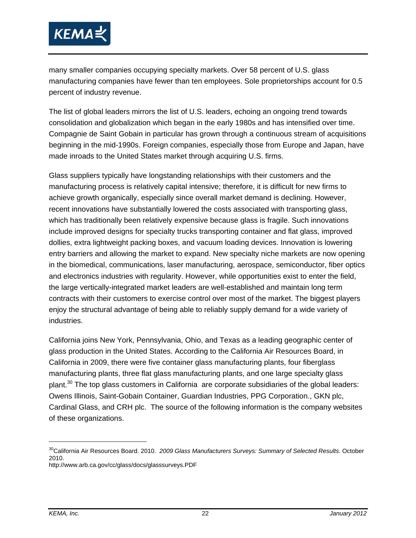

many smaller companies occupying specialty markets. Over 58 percent of U.S. glass manufacturing companies have fewer than ten employees. Sole proprietorships account for 0.5 percent of industry revenue.

The list of global leaders mirrors the list of U.S. leaders, echoing an ongoing trend towards consolidation and globalization which began in the early 1980s and has intensified over time. Compagnie de Saint Gobain in particular has grown through a continuous stream of acquisitions beginning in the mid-1990s. Foreign companies, especially those from Europe and Japan, have made inroads to the United States market through acquiring U.S. firms.

Glass suppliers typically have longstanding relationships with their customers and the manufacturing process is relatively capital intensive; therefore, it is difficult for new firms to achieve growth organically, especially since overall market demand is declining. However, recent innovations have substantially lowered the costs associated with transporting glass, which has traditionally been relatively expensive because glass is fragile. Such innovations include improved designs for specialty trucks transporting container and flat glass, improved dollies, extra lightweight packing boxes, and vacuum loading devices. Innovation is lowering entry barriers and allowing the market to expand. New specialty niche markets are now opening in the biomedical, communications, laser manufacturing, aerospace, semiconductor, fiber optics and electronics industries with regularity. However, while opportunities exist to enter the field, the large vertically-integrated market leaders are well-established and maintain long term contracts with their customers to exercise control over most of the market. The biggest players enjoy the structural advantage of being able to reliably supply demand for a wide variety of industries.

California joins New York, Pennsylvania, Ohio, and Texas as a leading geographic center of glass production in the United States. According to the California Air Resources Board, in California in 2009, there were five container glass manufacturing plants, four fiberglass manufacturing plants, three flat glass manufacturing plants, and one large specialty glass plant.<sup>30</sup> The top glass customers in California are corporate subsidiaries of the global leaders: Owens Illinois, Saint-Gobain Container, Guardian Industries, PPG Corporation., GKN plc, Cardinal Glass, and CRH plc. The source of the following information is the company websites of these organizations.

-

<sup>30</sup>California Air Resources Board. 2010. *2009 Glass Manufacturers Surveys: Summary of Selected Results*. October 2010.

http://www.arb.ca.gov/cc/glass/docs/glasssurveys.PDF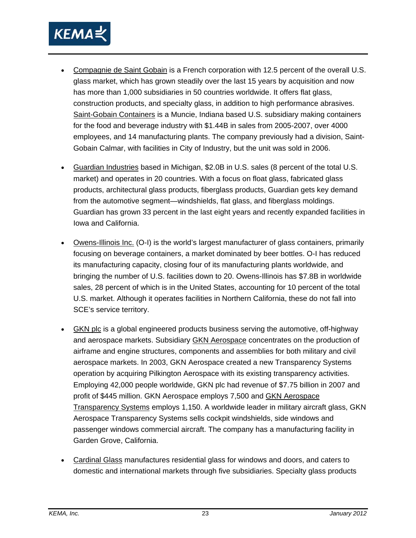

- Compagnie de Saint Gobain is a French corporation with 12.5 percent of the overall U.S. glass market, which has grown steadily over the last 15 years by acquisition and now has more than 1,000 subsidiaries in 50 countries worldwide. It offers flat glass, construction products, and specialty glass, in addition to high performance abrasives. Saint-Gobain Containers is a Muncie, Indiana based U.S. subsidiary making containers for the food and beverage industry with \$1.44B in sales from 2005-2007, over 4000 employees, and 14 manufacturing plants. The company previously had a division, Saint-Gobain Calmar, with facilities in City of Industry, but the unit was sold in 2006.
- Guardian Industries based in Michigan, \$2.0B in U.S. sales (8 percent of the total U.S. market) and operates in 20 countries. With a focus on float glass, fabricated glass products, architectural glass products, fiberglass products, Guardian gets key demand from the automotive segment—windshields, flat glass, and fiberglass moldings. Guardian has grown 33 percent in the last eight years and recently expanded facilities in Iowa and California.
- Owens-Illinois Inc. (O-I) is the world's largest manufacturer of glass containers, primarily focusing on beverage containers, a market dominated by beer bottles. O-I has reduced its manufacturing capacity, closing four of its manufacturing plants worldwide, and bringing the number of U.S. facilities down to 20. Owens-Illinois has \$7.8B in worldwide sales, 28 percent of which is in the United States, accounting for 10 percent of the total U.S. market. Although it operates facilities in Northern California, these do not fall into SCE's service territory.
- GKN plc is a global engineered products business serving the automotive, off-highway and aerospace markets. Subsidiary GKN Aerospace concentrates on the production of airframe and engine structures, components and assemblies for both military and civil aerospace markets. In 2003, GKN Aerospace created a new Transparency Systems operation by acquiring Pilkington Aerospace with its existing transparency activities. Employing 42,000 people worldwide, GKN plc had revenue of \$7.75 billion in 2007 and profit of \$445 million. GKN Aerospace employs 7,500 and GKN Aerospace Transparency Systems employs 1,150. A worldwide leader in military aircraft glass, GKN Aerospace Transparency Systems sells cockpit windshields, side windows and passenger windows commercial aircraft. The company has a manufacturing facility in Garden Grove, California.
- Cardinal Glass manufactures residential glass for windows and doors, and caters to domestic and international markets through five subsidiaries. Specialty glass products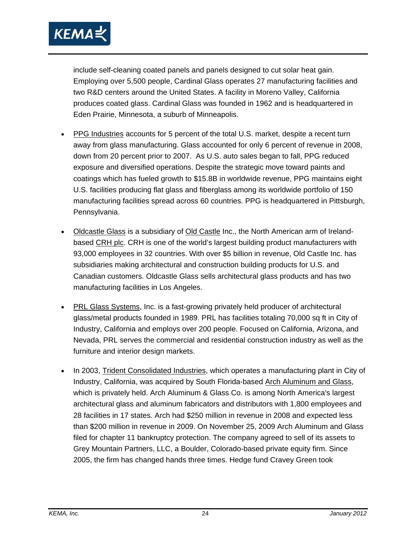

include self-cleaning coated panels and panels designed to cut solar heat gain. Employing over 5,500 people, Cardinal Glass operates 27 manufacturing facilities and two R&D centers around the United States. A facility in Moreno Valley, California produces coated glass. Cardinal Glass was founded in 1962 and is headquartered in Eden Prairie, Minnesota, a suburb of Minneapolis.

- PPG Industries accounts for 5 percent of the total U.S. market, despite a recent turn away from glass manufacturing. Glass accounted for only 6 percent of revenue in 2008, down from 20 percent prior to 2007. As U.S. auto sales began to fall, PPG reduced exposure and diversified operations. Despite the strategic move toward paints and coatings which has fueled growth to \$15.8B in worldwide revenue, PPG maintains eight U.S. facilities producing flat glass and fiberglass among its worldwide portfolio of 150 manufacturing facilities spread across 60 countries. PPG is headquartered in Pittsburgh, Pennsylvania.
- Oldcastle Glass is a subsidiary of Old Castle Inc., the North American arm of Irelandbased CRH plc. CRH is one of the world's largest building product manufacturers with 93,000 employees in 32 countries. With over \$5 billion in revenue, Old Castle Inc. has subsidiaries making architectural and construction building products for U.S. and Canadian customers. Oldcastle Glass sells architectural glass products and has two manufacturing facilities in Los Angeles.
- PRL Glass Systems, Inc. is a fast-growing privately held producer of architectural glass/metal products founded in 1989. PRL has facilities totaling 70,000 sq ft in City of Industry, California and employs over 200 people. Focused on California, Arizona, and Nevada, PRL serves the commercial and residential construction industry as well as the furniture and interior design markets.
- In 2003, Trident Consolidated Industries, which operates a manufacturing plant in City of Industry, California, was acquired by South Florida-based Arch Aluminum and Glass, which is privately held. Arch Aluminum & Glass Co. is among North America's largest architectural glass and aluminum fabricators and distributors with 1,800 employees and 28 facilities in 17 states. Arch had \$250 million in revenue in 2008 and expected less than \$200 million in revenue in 2009. On November 25, 2009 Arch Aluminum and Glass filed for chapter 11 bankruptcy protection. The company agreed to sell of its assets to Grey Mountain Partners, LLC, a Boulder, Colorado-based private equity firm. Since 2005, the firm has changed hands three times. Hedge fund Cravey Green took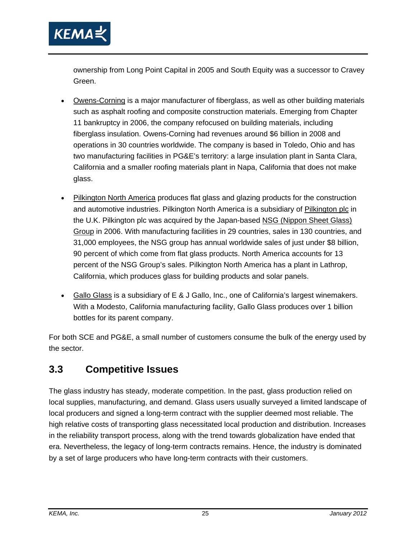

ownership from Long Point Capital in 2005 and South Equity was a successor to Cravey Green.

- Owens-Corning is a major manufacturer of fiberglass, as well as other building materials such as asphalt roofing and composite construction materials. Emerging from Chapter 11 bankruptcy in 2006, the company refocused on building materials, including fiberglass insulation. Owens-Corning had revenues around \$6 billion in 2008 and operations in 30 countries worldwide. The company is based in Toledo, Ohio and has two manufacturing facilities in PG&E's territory: a large insulation plant in Santa Clara, California and a smaller roofing materials plant in Napa, California that does not make glass.
- Pilkington North America produces flat glass and glazing products for the construction and automotive industries. Pilkington North America is a subsidiary of Pilkington plc in the U.K. Pilkington plc was acquired by the Japan-based NSG (Nippon Sheet Glass) Group in 2006. With manufacturing facilities in 29 countries, sales in 130 countries, and 31,000 employees, the NSG group has annual worldwide sales of just under \$8 billion, 90 percent of which come from flat glass products. North America accounts for 13 percent of the NSG Group's sales. Pilkington North America has a plant in Lathrop, California, which produces glass for building products and solar panels.
- Gallo Glass is a subsidiary of E & J Gallo, Inc., one of California's largest winemakers. With a Modesto, California manufacturing facility, Gallo Glass produces over 1 billion bottles for its parent company.

For both SCE and PG&E, a small number of customers consume the bulk of the energy used by the sector.

### **3.3 Competitive Issues**

The glass industry has steady, moderate competition. In the past, glass production relied on local supplies, manufacturing, and demand. Glass users usually surveyed a limited landscape of local producers and signed a long-term contract with the supplier deemed most reliable. The high relative costs of transporting glass necessitated local production and distribution. Increases in the reliability transport process, along with the trend towards globalization have ended that era. Nevertheless, the legacy of long-term contracts remains. Hence, the industry is dominated by a set of large producers who have long-term contracts with their customers.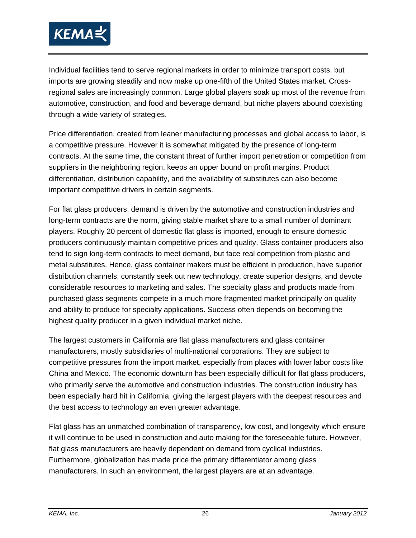

Individual facilities tend to serve regional markets in order to minimize transport costs, but imports are growing steadily and now make up one-fifth of the United States market. Crossregional sales are increasingly common. Large global players soak up most of the revenue from automotive, construction, and food and beverage demand, but niche players abound coexisting through a wide variety of strategies.

Price differentiation, created from leaner manufacturing processes and global access to labor, is a competitive pressure. However it is somewhat mitigated by the presence of long-term contracts. At the same time, the constant threat of further import penetration or competition from suppliers in the neighboring region, keeps an upper bound on profit margins. Product differentiation, distribution capability, and the availability of substitutes can also become important competitive drivers in certain segments.

For flat glass producers, demand is driven by the automotive and construction industries and long-term contracts are the norm, giving stable market share to a small number of dominant players. Roughly 20 percent of domestic flat glass is imported, enough to ensure domestic producers continuously maintain competitive prices and quality. Glass container producers also tend to sign long-term contracts to meet demand, but face real competition from plastic and metal substitutes. Hence, glass container makers must be efficient in production, have superior distribution channels, constantly seek out new technology, create superior designs, and devote considerable resources to marketing and sales. The specialty glass and products made from purchased glass segments compete in a much more fragmented market principally on quality and ability to produce for specialty applications. Success often depends on becoming the highest quality producer in a given individual market niche.

The largest customers in California are flat glass manufacturers and glass container manufacturers, mostly subsidiaries of multi-national corporations. They are subject to competitive pressures from the import market, especially from places with lower labor costs like China and Mexico. The economic downturn has been especially difficult for flat glass producers, who primarily serve the automotive and construction industries. The construction industry has been especially hard hit in California, giving the largest players with the deepest resources and the best access to technology an even greater advantage.

Flat glass has an unmatched combination of transparency, low cost, and longevity which ensure it will continue to be used in construction and auto making for the foreseeable future. However, flat glass manufacturers are heavily dependent on demand from cyclical industries. Furthermore, globalization has made price the primary differentiator among glass manufacturers. In such an environment, the largest players are at an advantage.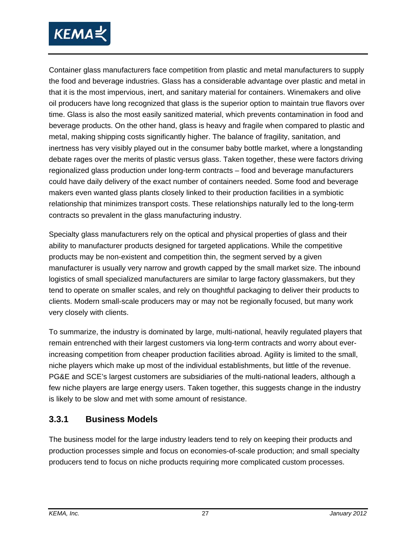

Container glass manufacturers face competition from plastic and metal manufacturers to supply the food and beverage industries. Glass has a considerable advantage over plastic and metal in that it is the most impervious, inert, and sanitary material for containers. Winemakers and olive oil producers have long recognized that glass is the superior option to maintain true flavors over time. Glass is also the most easily sanitized material, which prevents contamination in food and beverage products. On the other hand, glass is heavy and fragile when compared to plastic and metal, making shipping costs significantly higher. The balance of fragility, sanitation, and inertness has very visibly played out in the consumer baby bottle market, where a longstanding debate rages over the merits of plastic versus glass. Taken together, these were factors driving regionalized glass production under long-term contracts – food and beverage manufacturers could have daily delivery of the exact number of containers needed. Some food and beverage makers even wanted glass plants closely linked to their production facilities in a symbiotic relationship that minimizes transport costs. These relationships naturally led to the long-term contracts so prevalent in the glass manufacturing industry.

Specialty glass manufacturers rely on the optical and physical properties of glass and their ability to manufacturer products designed for targeted applications. While the competitive products may be non-existent and competition thin, the segment served by a given manufacturer is usually very narrow and growth capped by the small market size. The inbound logistics of small specialized manufacturers are similar to large factory glassmakers, but they tend to operate on smaller scales, and rely on thoughtful packaging to deliver their products to clients. Modern small-scale producers may or may not be regionally focused, but many work very closely with clients.

To summarize, the industry is dominated by large, multi-national, heavily regulated players that remain entrenched with their largest customers via long-term contracts and worry about everincreasing competition from cheaper production facilities abroad. Agility is limited to the small, niche players which make up most of the individual establishments, but little of the revenue. PG&E and SCE's largest customers are subsidiaries of the multi-national leaders, although a few niche players are large energy users. Taken together, this suggests change in the industry is likely to be slow and met with some amount of resistance.

#### **3.3.1 Business Models**

The business model for the large industry leaders tend to rely on keeping their products and production processes simple and focus on economies-of-scale production; and small specialty producers tend to focus on niche products requiring more complicated custom processes.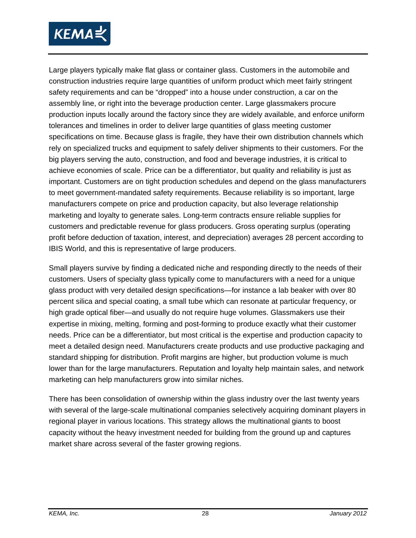

Large players typically make flat glass or container glass. Customers in the automobile and construction industries require large quantities of uniform product which meet fairly stringent safety requirements and can be "dropped" into a house under construction, a car on the assembly line, or right into the beverage production center. Large glassmakers procure production inputs locally around the factory since they are widely available, and enforce uniform tolerances and timelines in order to deliver large quantities of glass meeting customer specifications on time. Because glass is fragile, they have their own distribution channels which rely on specialized trucks and equipment to safely deliver shipments to their customers. For the big players serving the auto, construction, and food and beverage industries, it is critical to achieve economies of scale. Price can be a differentiator, but quality and reliability is just as important. Customers are on tight production schedules and depend on the glass manufacturers to meet government-mandated safety requirements. Because reliability is so important, large manufacturers compete on price and production capacity, but also leverage relationship marketing and loyalty to generate sales. Long-term contracts ensure reliable supplies for customers and predictable revenue for glass producers. Gross operating surplus (operating profit before deduction of taxation, interest, and depreciation) averages 28 percent according to IBIS World, and this is representative of large producers.

Small players survive by finding a dedicated niche and responding directly to the needs of their customers. Users of specialty glass typically come to manufacturers with a need for a unique glass product with very detailed design specifications—for instance a lab beaker with over 80 percent silica and special coating, a small tube which can resonate at particular frequency, or high grade optical fiber—and usually do not require huge volumes. Glassmakers use their expertise in mixing, melting, forming and post-forming to produce exactly what their customer needs. Price can be a differentiator, but most critical is the expertise and production capacity to meet a detailed design need. Manufacturers create products and use productive packaging and standard shipping for distribution. Profit margins are higher, but production volume is much lower than for the large manufacturers. Reputation and loyalty help maintain sales, and network marketing can help manufacturers grow into similar niches.

There has been consolidation of ownership within the glass industry over the last twenty years with several of the large-scale multinational companies selectively acquiring dominant players in regional player in various locations. This strategy allows the multinational giants to boost capacity without the heavy investment needed for building from the ground up and captures market share across several of the faster growing regions.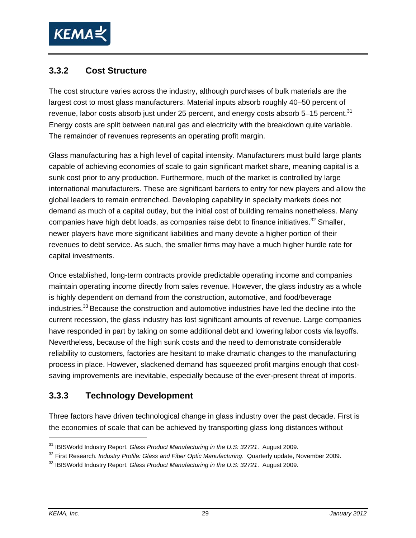

#### **3.3.2 Cost Structure**

The cost structure varies across the industry, although purchases of bulk materials are the largest cost to most glass manufacturers. Material inputs absorb roughly 40–50 percent of revenue, labor costs absorb just under 25 percent, and energy costs absorb 5-15 percent.<sup>31</sup> Energy costs are split between natural gas and electricity with the breakdown quite variable. The remainder of revenues represents an operating profit margin.

Glass manufacturing has a high level of capital intensity. Manufacturers must build large plants capable of achieving economies of scale to gain significant market share, meaning capital is a sunk cost prior to any production. Furthermore, much of the market is controlled by large international manufacturers. These are significant barriers to entry for new players and allow the global leaders to remain entrenched. Developing capability in specialty markets does not demand as much of a capital outlay, but the initial cost of building remains nonetheless. Many companies have high debt loads, as companies raise debt to finance initiatives.<sup>32</sup> Smaller, newer players have more significant liabilities and many devote a higher portion of their revenues to debt service. As such, the smaller firms may have a much higher hurdle rate for capital investments.

Once established, long-term contracts provide predictable operating income and companies maintain operating income directly from sales revenue. However, the glass industry as a whole is highly dependent on demand from the construction, automotive, and food/beverage industries.<sup>33</sup> Because the construction and automotive industries have led the decline into the current recession, the glass industry has lost significant amounts of revenue. Large companies have responded in part by taking on some additional debt and lowering labor costs via layoffs. Nevertheless, because of the high sunk costs and the need to demonstrate considerable reliability to customers, factories are hesitant to make dramatic changes to the manufacturing process in place. However, slackened demand has squeezed profit margins enough that costsaving improvements are inevitable, especially because of the ever-present threat of imports.

#### **3.3.3 Technology Development**

Three factors have driven technological change in glass industry over the past decade. First is the economies of scale that can be achieved by transporting glass long distances without

 $\overline{a}$ 

<sup>&</sup>lt;sup>31</sup> IBISWorld Industry Report. Glass Product Manufacturing in the U.S: 32721. August 2009.<br><sup>32</sup> First Research. *Industry Profile: Glass and Fiber Optic Manufacturing.* Quarterly update, November 2009.<br><sup>33</sup> IBISWorld Ind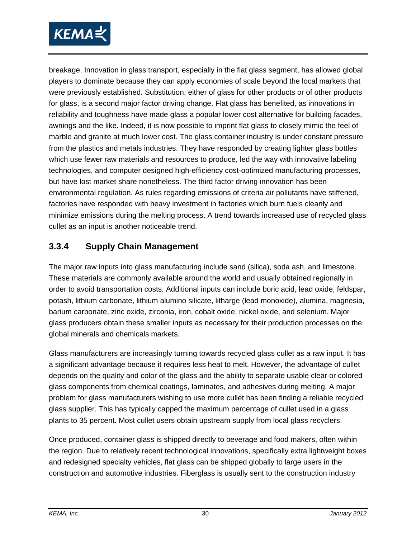

breakage. Innovation in glass transport, especially in the flat glass segment, has allowed global players to dominate because they can apply economies of scale beyond the local markets that were previously established. Substitution, either of glass for other products or of other products for glass, is a second major factor driving change. Flat glass has benefited, as innovations in reliability and toughness have made glass a popular lower cost alternative for building facades, awnings and the like. Indeed, it is now possible to imprint flat glass to closely mimic the feel of marble and granite at much lower cost. The glass container industry is under constant pressure from the plastics and metals industries. They have responded by creating lighter glass bottles which use fewer raw materials and resources to produce, led the way with innovative labeling technologies, and computer designed high-efficiency cost-optimized manufacturing processes, but have lost market share nonetheless. The third factor driving innovation has been environmental regulation. As rules regarding emissions of criteria air pollutants have stiffened, factories have responded with heavy investment in factories which burn fuels cleanly and minimize emissions during the melting process. A trend towards increased use of recycled glass cullet as an input is another noticeable trend.

#### **3.3.4 Supply Chain Management**

The major raw inputs into glass manufacturing include sand (silica), soda ash, and limestone. These materials are commonly available around the world and usually obtained regionally in order to avoid transportation costs. Additional inputs can include boric acid, lead oxide, feldspar, potash, lithium carbonate, lithium alumino silicate, litharge (lead monoxide), alumina, magnesia, barium carbonate, zinc oxide, zirconia, iron, cobalt oxide, nickel oxide, and selenium. Major glass producers obtain these smaller inputs as necessary for their production processes on the global minerals and chemicals markets.

Glass manufacturers are increasingly turning towards recycled glass cullet as a raw input. It has a significant advantage because it requires less heat to melt. However, the advantage of cullet depends on the quality and color of the glass and the ability to separate usable clear or colored glass components from chemical coatings, laminates, and adhesives during melting. A major problem for glass manufacturers wishing to use more cullet has been finding a reliable recycled glass supplier. This has typically capped the maximum percentage of cullet used in a glass plants to 35 percent. Most cullet users obtain upstream supply from local glass recyclers.

Once produced, container glass is shipped directly to beverage and food makers, often within the region. Due to relatively recent technological innovations, specifically extra lightweight boxes and redesigned specialty vehicles, flat glass can be shipped globally to large users in the construction and automotive industries. Fiberglass is usually sent to the construction industry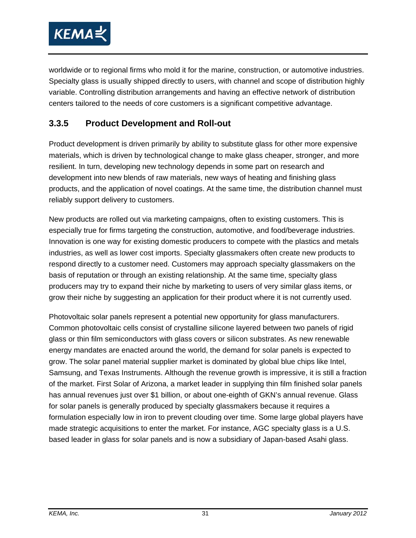

worldwide or to regional firms who mold it for the marine, construction, or automotive industries. Specialty glass is usually shipped directly to users, with channel and scope of distribution highly variable. Controlling distribution arrangements and having an effective network of distribution centers tailored to the needs of core customers is a significant competitive advantage.

#### **3.3.5 Product Development and Roll-out**

Product development is driven primarily by ability to substitute glass for other more expensive materials, which is driven by technological change to make glass cheaper, stronger, and more resilient. In turn, developing new technology depends in some part on research and development into new blends of raw materials, new ways of heating and finishing glass products, and the application of novel coatings. At the same time, the distribution channel must reliably support delivery to customers.

New products are rolled out via marketing campaigns, often to existing customers. This is especially true for firms targeting the construction, automotive, and food/beverage industries. Innovation is one way for existing domestic producers to compete with the plastics and metals industries, as well as lower cost imports. Specialty glassmakers often create new products to respond directly to a customer need. Customers may approach specialty glassmakers on the basis of reputation or through an existing relationship. At the same time, specialty glass producers may try to expand their niche by marketing to users of very similar glass items, or grow their niche by suggesting an application for their product where it is not currently used.

Photovoltaic solar panels represent a potential new opportunity for glass manufacturers. Common photovoltaic cells consist of crystalline silicone layered between two panels of rigid glass or thin film semiconductors with glass covers or silicon substrates. As new renewable energy mandates are enacted around the world, the demand for solar panels is expected to grow. The solar panel material supplier market is dominated by global blue chips like Intel, Samsung, and Texas Instruments. Although the revenue growth is impressive, it is still a fraction of the market. First Solar of Arizona, a market leader in supplying thin film finished solar panels has annual revenues just over \$1 billion, or about one-eighth of GKN's annual revenue. Glass for solar panels is generally produced by specialty glassmakers because it requires a formulation especially low in iron to prevent clouding over time. Some large global players have made strategic acquisitions to enter the market. For instance, AGC specialty glass is a U.S. based leader in glass for solar panels and is now a subsidiary of Japan-based Asahi glass.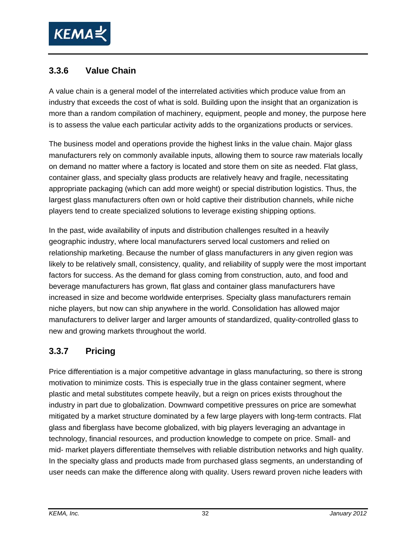

## **3.3.6 Value Chain**

A value chain is a general model of the interrelated activities which produce value from an industry that exceeds the cost of what is sold. Building upon the insight that an organization is more than a random compilation of machinery, equipment, people and money, the purpose here is to assess the value each particular activity adds to the organizations products or services.

The business model and operations provide the highest links in the value chain. Major glass manufacturers rely on commonly available inputs, allowing them to source raw materials locally on demand no matter where a factory is located and store them on site as needed. Flat glass, container glass, and specialty glass products are relatively heavy and fragile, necessitating appropriate packaging (which can add more weight) or special distribution logistics. Thus, the largest glass manufacturers often own or hold captive their distribution channels, while niche players tend to create specialized solutions to leverage existing shipping options.

In the past, wide availability of inputs and distribution challenges resulted in a heavily geographic industry, where local manufacturers served local customers and relied on relationship marketing. Because the number of glass manufacturers in any given region was likely to be relatively small, consistency, quality, and reliability of supply were the most important factors for success. As the demand for glass coming from construction, auto, and food and beverage manufacturers has grown, flat glass and container glass manufacturers have increased in size and become worldwide enterprises. Specialty glass manufacturers remain niche players, but now can ship anywhere in the world. Consolidation has allowed major manufacturers to deliver larger and larger amounts of standardized, quality-controlled glass to new and growing markets throughout the world.

## **3.3.7 Pricing**

Price differentiation is a major competitive advantage in glass manufacturing, so there is strong motivation to minimize costs. This is especially true in the glass container segment, where plastic and metal substitutes compete heavily, but a reign on prices exists throughout the industry in part due to globalization. Downward competitive pressures on price are somewhat mitigated by a market structure dominated by a few large players with long-term contracts. Flat glass and fiberglass have become globalized, with big players leveraging an advantage in technology, financial resources, and production knowledge to compete on price. Small- and mid- market players differentiate themselves with reliable distribution networks and high quality. In the specialty glass and products made from purchased glass segments, an understanding of user needs can make the difference along with quality. Users reward proven niche leaders with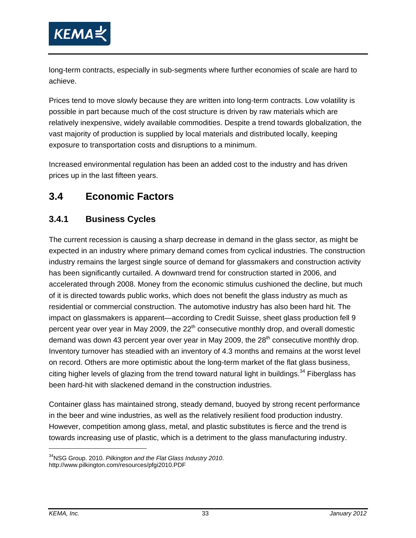

long-term contracts, especially in sub-segments where further economies of scale are hard to achieve.

Prices tend to move slowly because they are written into long-term contracts. Low volatility is possible in part because much of the cost structure is driven by raw materials which are relatively inexpensive, widely available commodities. Despite a trend towards globalization, the vast majority of production is supplied by local materials and distributed locally, keeping exposure to transportation costs and disruptions to a minimum.

Increased environmental regulation has been an added cost to the industry and has driven prices up in the last fifteen years.

# **3.4 Economic Factors**

#### **3.4.1 Business Cycles**

The current recession is causing a sharp decrease in demand in the glass sector, as might be expected in an industry where primary demand comes from cyclical industries. The construction industry remains the largest single source of demand for glassmakers and construction activity has been significantly curtailed. A downward trend for construction started in 2006, and accelerated through 2008. Money from the economic stimulus cushioned the decline, but much of it is directed towards public works, which does not benefit the glass industry as much as residential or commercial construction. The automotive industry has also been hard hit. The impact on glassmakers is apparent—according to Credit Suisse, sheet glass production fell 9 percent year over year in May 2009, the  $22<sup>th</sup>$  consecutive monthly drop, and overall domestic demand was down 43 percent year over year in May 2009, the  $28<sup>th</sup>$  consecutive monthly drop. Inventory turnover has steadied with an inventory of 4.3 months and remains at the worst level on record. Others are more optimistic about the long-term market of the flat glass business, citing higher levels of glazing from the trend toward natural light in buildings.<sup>34</sup> Fiberglass has been hard-hit with slackened demand in the construction industries.

Container glass has maintained strong, steady demand, buoyed by strong recent performance in the beer and wine industries, as well as the relatively resilient food production industry. However, competition among glass, metal, and plastic substitutes is fierce and the trend is towards increasing use of plastic, which is a detriment to the glass manufacturing industry.

<sup>34</sup>NSG Group. 2010. *Pilkington and the Flat Glass Industry 2010*. http://www.pilkington.com/resources/pfgi2010.PDF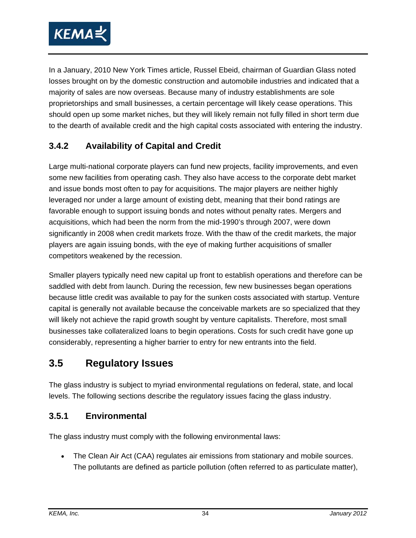

In a January, 2010 New York Times article, Russel Ebeid, chairman of Guardian Glass noted losses brought on by the domestic construction and automobile industries and indicated that a majority of sales are now overseas. Because many of industry establishments are sole proprietorships and small businesses, a certain percentage will likely cease operations. This should open up some market niches, but they will likely remain not fully filled in short term due to the dearth of available credit and the high capital costs associated with entering the industry.

# **3.4.2 Availability of Capital and Credit**

Large multi-national corporate players can fund new projects, facility improvements, and even some new facilities from operating cash. They also have access to the corporate debt market and issue bonds most often to pay for acquisitions. The major players are neither highly leveraged nor under a large amount of existing debt, meaning that their bond ratings are favorable enough to support issuing bonds and notes without penalty rates. Mergers and acquisitions, which had been the norm from the mid-1990's through 2007, were down significantly in 2008 when credit markets froze. With the thaw of the credit markets, the major players are again issuing bonds, with the eye of making further acquisitions of smaller competitors weakened by the recession.

Smaller players typically need new capital up front to establish operations and therefore can be saddled with debt from launch. During the recession, few new businesses began operations because little credit was available to pay for the sunken costs associated with startup. Venture capital is generally not available because the conceivable markets are so specialized that they will likely not achieve the rapid growth sought by venture capitalists. Therefore, most small businesses take collateralized loans to begin operations. Costs for such credit have gone up considerably, representing a higher barrier to entry for new entrants into the field.

# **3.5 Regulatory Issues**

The glass industry is subject to myriad environmental regulations on federal, state, and local levels. The following sections describe the regulatory issues facing the glass industry.

#### **3.5.1 Environmental**

The glass industry must comply with the following environmental laws:

• The Clean Air Act (CAA) regulates air emissions from stationary and mobile sources. The pollutants are defined as particle pollution (often referred to as particulate matter),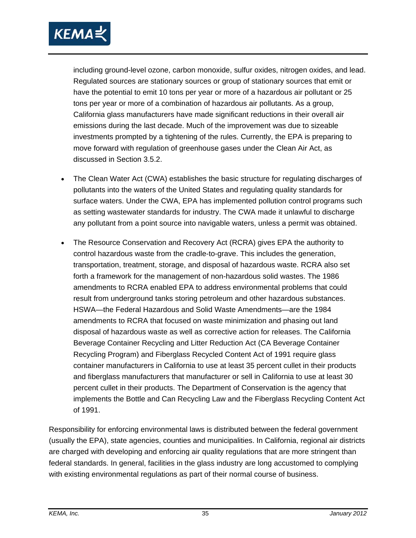

including ground-level ozone, carbon monoxide, sulfur oxides, nitrogen oxides, and lead. Regulated sources are stationary sources or group of stationary sources that emit or have the potential to emit 10 tons per year or more of a hazardous air pollutant or 25 tons per year or more of a combination of hazardous air pollutants. As a group, California glass manufacturers have made significant reductions in their overall air emissions during the last decade. Much of the improvement was due to sizeable investments prompted by a tightening of the rules. Currently, the EPA is preparing to move forward with regulation of greenhouse gases under the Clean Air Act, as discussed in Section 3.5.2.

- The Clean Water Act (CWA) establishes the basic structure for regulating discharges of pollutants into the waters of the United States and regulating quality standards for surface waters. Under the CWA, EPA has implemented pollution control programs such as setting wastewater standards for industry. The CWA made it unlawful to discharge any pollutant from a point source into navigable waters, unless a permit was obtained.
- The Resource Conservation and Recovery Act (RCRA) gives EPA the authority to control hazardous waste from the cradle-to-grave. This includes the generation, transportation, treatment, storage, and disposal of hazardous waste. RCRA also set forth a framework for the management of non-hazardous solid wastes. The 1986 amendments to RCRA enabled EPA to address environmental problems that could result from underground tanks storing petroleum and other hazardous substances. HSWA—the Federal Hazardous and Solid Waste Amendments—are the 1984 amendments to RCRA that focused on waste minimization and phasing out land disposal of hazardous waste as well as corrective action for releases. The California Beverage Container Recycling and Litter Reduction Act (CA Beverage Container Recycling Program) and Fiberglass Recycled Content Act of 1991 require glass container manufacturers in California to use at least 35 percent cullet in their products and fiberglass manufacturers that manufacturer or sell in California to use at least 30 percent cullet in their products. The Department of Conservation is the agency that implements the Bottle and Can Recycling Law and the Fiberglass Recycling Content Act of 1991.

Responsibility for enforcing environmental laws is distributed between the federal government (usually the EPA), state agencies, counties and municipalities. In California, regional air districts are charged with developing and enforcing air quality regulations that are more stringent than federal standards. In general, facilities in the glass industry are long accustomed to complying with existing environmental regulations as part of their normal course of business.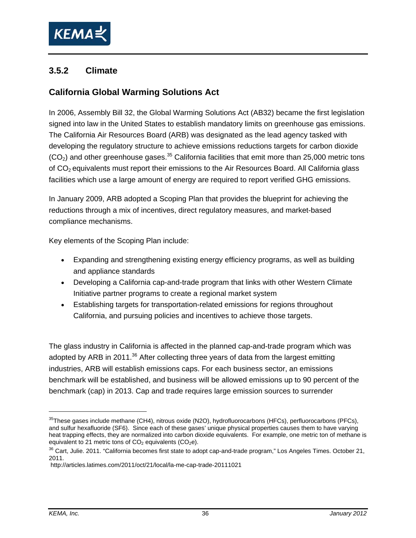

### **3.5.2 Climate**

## **California Global Warming Solutions Act**

In 2006, Assembly Bill 32, the Global Warming Solutions Act (AB32) became the first legislation signed into law in the United States to establish mandatory limits on greenhouse gas emissions. The California Air Resources Board (ARB) was designated as the lead agency tasked with developing the regulatory structure to achieve emissions reductions targets for carbon dioxide  $(CO<sub>2</sub>)$  and other greenhouse gases.<sup>35</sup> California facilities that emit more than 25,000 metric tons of CO<sub>2</sub> equivalents must report their emissions to the Air Resources Board. All California glass facilities which use a large amount of energy are required to report verified GHG emissions.

In January 2009, ARB adopted a Scoping Plan that provides the blueprint for achieving the reductions through a mix of incentives, direct regulatory measures, and market-based compliance mechanisms.

Key elements of the Scoping Plan include:

- Expanding and strengthening existing energy efficiency programs, as well as building and appliance standards
- Developing a California cap-and-trade program that links with other Western Climate Initiative partner programs to create a regional market system
- Establishing targets for transportation-related emissions for regions throughout California, and pursuing policies and incentives to achieve those targets.

The glass industry in California is affected in the planned cap-and-trade program which was adopted by ARB in 2011.<sup>36</sup> After collecting three years of data from the largest emitting industries, ARB will establish emissions caps. For each business sector, an emissions benchmark will be established, and business will be allowed emissions up to 90 percent of the benchmark (cap) in 2013. Cap and trade requires large emission sources to surrender

-

<sup>35</sup>These gases include methane (CH4), nitrous oxide (N2O), hydrofluorocarbons (HFCs), perfluorocarbons (PFCs), and sulfur hexafluoride (SF6). Since each of these gases' unique physical properties causes them to have varying heat trapping effects, they are normalized into carbon dioxide equivalents. For example, one metric ton of methane is equivalent to 21 metric tons of  $CO<sub>2</sub>$  equivalents ( $CO<sub>2</sub>e$ ).

<sup>&</sup>lt;sup>36</sup> Cart, Julie. 2011. "California becomes first state to adopt cap-and-trade program," Los Angeles Times. October 21, 2011.

http://articles.latimes.com/2011/oct/21/local/la-me-cap-trade-20111021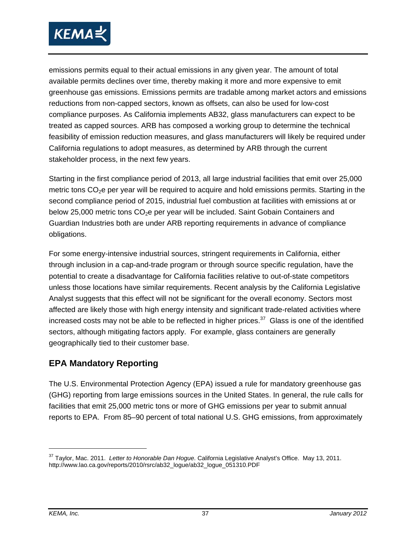

emissions permits equal to their actual emissions in any given year. The amount of total available permits declines over time, thereby making it more and more expensive to emit greenhouse gas emissions. Emissions permits are tradable among market actors and emissions reductions from non-capped sectors, known as offsets, can also be used for low-cost compliance purposes. As California implements AB32, glass manufacturers can expect to be treated as capped sources. ARB has composed a working group to determine the technical feasibility of emission reduction measures, and glass manufacturers will likely be required under California regulations to adopt measures, as determined by ARB through the current stakeholder process, in the next few years.

Starting in the first compliance period of 2013, all large industrial facilities that emit over 25,000 metric tons  $CO<sub>2</sub>e$  per year will be required to acquire and hold emissions permits. Starting in the second compliance period of 2015, industrial fuel combustion at facilities with emissions at or below 25,000 metric tons  $CO<sub>2</sub>e$  per year will be included. Saint Gobain Containers and Guardian Industries both are under ARB reporting requirements in advance of compliance obligations.

For some energy-intensive industrial sources, stringent requirements in California, either through inclusion in a cap-and-trade program or through source specific regulation, have the potential to create a disadvantage for California facilities relative to out-of-state competitors unless those locations have similar requirements. Recent analysis by the California Legislative Analyst suggests that this effect will not be significant for the overall economy. Sectors most affected are likely those with high energy intensity and significant trade-related activities where increased costs may not be able to be reflected in higher prices. $37$  Glass is one of the identified sectors, although mitigating factors apply. For example, glass containers are generally geographically tied to their customer base.

#### **EPA Mandatory Reporting**

The U.S. Environmental Protection Agency (EPA) issued a rule for mandatory greenhouse gas (GHG) reporting from large emissions sources in the United States. In general, the rule calls for facilities that emit 25,000 metric tons or more of GHG emissions per year to submit annual reports to EPA. From 85–90 percent of total national U.S. GHG emissions, from approximately

<sup>37</sup> Taylor, Mac. 2011. *Letter to Honorable Dan Hogue*. California Legislative Analyst's Office. May 13, 2011. http://www.lao.ca.gov/reports/2010/rsrc/ab32\_logue/ab32\_logue\_051310.PDF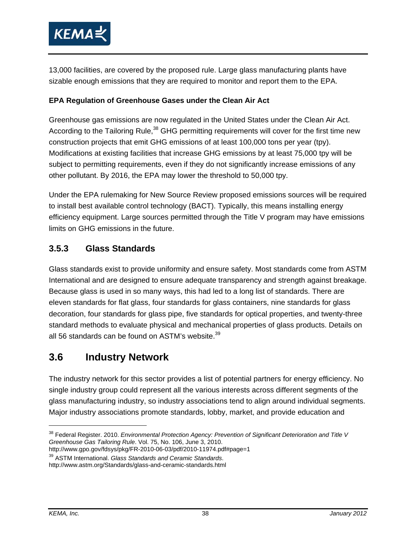

13,000 facilities, are covered by the proposed rule. Large glass manufacturing plants have sizable enough emissions that they are required to monitor and report them to the EPA.

#### **EPA Regulation of Greenhouse Gases under the Clean Air Act**

Greenhouse gas emissions are now regulated in the United States under the Clean Air Act. According to the Tailoring Rule,<sup>38</sup> GHG permitting requirements will cover for the first time new construction projects that emit GHG emissions of at least 100,000 tons per year (tpy). Modifications at existing facilities that increase GHG emissions by at least 75,000 tpy will be subject to permitting requirements, even if they do not significantly increase emissions of any other pollutant. By 2016, the EPA may lower the threshold to 50,000 tpy.

Under the EPA rulemaking for New Source Review proposed emissions sources will be required to install best available control technology (BACT). Typically, this means installing energy efficiency equipment. Large sources permitted through the Title V program may have emissions limits on GHG emissions in the future.

#### **3.5.3 Glass Standards**

Glass standards exist to provide uniformity and ensure safety. Most standards come from ASTM International and are designed to ensure adequate transparency and strength against breakage. Because glass is used in so many ways, this had led to a long list of standards. There are eleven standards for flat glass, four standards for glass containers, nine standards for glass decoration, four standards for glass pipe, five standards for optical properties, and twenty-three standard methods to evaluate physical and mechanical properties of glass products. Details on all 56 standards can be found on ASTM's website.  $39$ 

# **3.6 Industry Network**

The industry network for this sector provides a list of potential partners for energy efficiency. No single industry group could represent all the various interests across different segments of the glass manufacturing industry, so industry associations tend to align around individual segments. Major industry associations promote standards, lobby, market, and provide education and

http://www.gpo.gov/fdsys/pkg/FR-2010-06-03/pdf/2010-11974.pdf#page=1<br><sup>39</sup> ASTM International. *Glass Standards and Ceramic Standards*.

http://www.astm.org/Standards/glass-and-ceramic-standards.html

<sup>38</sup> Federal Register. 2010. *Environmental Protection Agency: Prevention of Significant Deterioration and Title V Greenhouse Gas Tailoring Rule*. Vol. 75, No. 106, June 3, 2010.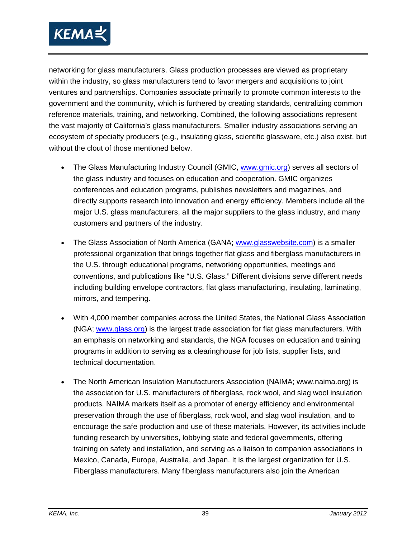

networking for glass manufacturers. Glass production processes are viewed as proprietary within the industry, so glass manufacturers tend to favor mergers and acquisitions to joint ventures and partnerships. Companies associate primarily to promote common interests to the government and the community, which is furthered by creating standards, centralizing common reference materials, training, and networking. Combined, the following associations represent the vast majority of California's glass manufacturers. Smaller industry associations serving an ecosystem of specialty producers (e.g., insulating glass, scientific glassware, etc.) also exist, but without the clout of those mentioned below.

- The Glass Manufacturing Industry Council (GMIC, www.gmic.org) serves all sectors of the glass industry and focuses on education and cooperation. GMIC organizes conferences and education programs, publishes newsletters and magazines, and directly supports research into innovation and energy efficiency. Members include all the major U.S. glass manufacturers, all the major suppliers to the glass industry, and many customers and partners of the industry.
- The Glass Association of North America (GANA; www.glasswebsite.com) is a smaller professional organization that brings together flat glass and fiberglass manufacturers in the U.S. through educational programs, networking opportunities, meetings and conventions, and publications like "U.S. Glass." Different divisions serve different needs including building envelope contractors, flat glass manufacturing, insulating, laminating, mirrors, and tempering.
- With 4,000 member companies across the United States, the National Glass Association (NGA; www.glass.org) is the largest trade association for flat glass manufacturers. With an emphasis on networking and standards, the NGA focuses on education and training programs in addition to serving as a clearinghouse for job lists, supplier lists, and technical documentation.
- The North American Insulation Manufacturers Association (NAIMA; www.naima.org) is the association for U.S. manufacturers of fiberglass, rock wool, and slag wool insulation products. NAIMA markets itself as a promoter of energy efficiency and environmental preservation through the use of fiberglass, rock wool, and slag wool insulation, and to encourage the safe production and use of these materials. However, its activities include funding research by universities, lobbying state and federal governments, offering training on safety and installation, and serving as a liaison to companion associations in Mexico, Canada, Europe, Australia, and Japan. It is the largest organization for U.S. Fiberglass manufacturers. Many fiberglass manufacturers also join the American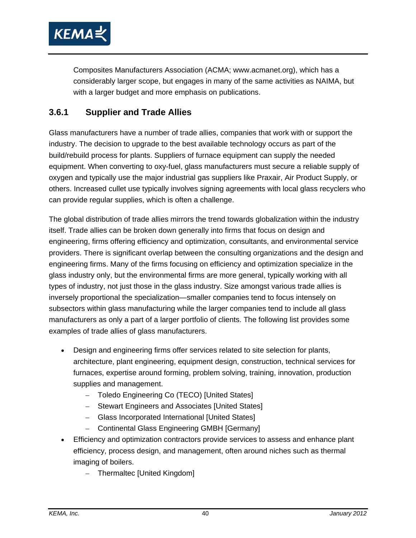

Composites Manufacturers Association (ACMA; www.acmanet.org), which has a considerably larger scope, but engages in many of the same activities as NAIMA, but with a larger budget and more emphasis on publications.

#### **3.6.1 Supplier and Trade Allies**

Glass manufacturers have a number of trade allies, companies that work with or support the industry. The decision to upgrade to the best available technology occurs as part of the build/rebuild process for plants. Suppliers of furnace equipment can supply the needed equipment. When converting to oxy-fuel, glass manufacturers must secure a reliable supply of oxygen and typically use the major industrial gas suppliers like Praxair, Air Product Supply, or others. Increased cullet use typically involves signing agreements with local glass recyclers who can provide regular supplies, which is often a challenge.

The global distribution of trade allies mirrors the trend towards globalization within the industry itself. Trade allies can be broken down generally into firms that focus on design and engineering, firms offering efficiency and optimization, consultants, and environmental service providers. There is significant overlap between the consulting organizations and the design and engineering firms. Many of the firms focusing on efficiency and optimization specialize in the glass industry only, but the environmental firms are more general, typically working with all types of industry, not just those in the glass industry. Size amongst various trade allies is inversely proportional the specialization—smaller companies tend to focus intensely on subsectors within glass manufacturing while the larger companies tend to include all glass manufacturers as only a part of a larger portfolio of clients. The following list provides some examples of trade allies of glass manufacturers.

- Design and engineering firms offer services related to site selection for plants, architecture, plant engineering, equipment design, construction, technical services for furnaces, expertise around forming, problem solving, training, innovation, production supplies and management.
	- Toledo Engineering Co (TECO) [United States]
	- Stewart Engineers and Associates [United States]
	- Glass Incorporated International [United States]
	- Continental Glass Engineering GMBH [Germany]
- Efficiency and optimization contractors provide services to assess and enhance plant efficiency, process design, and management, often around niches such as thermal imaging of boilers.
	- Thermaltec [United Kingdom]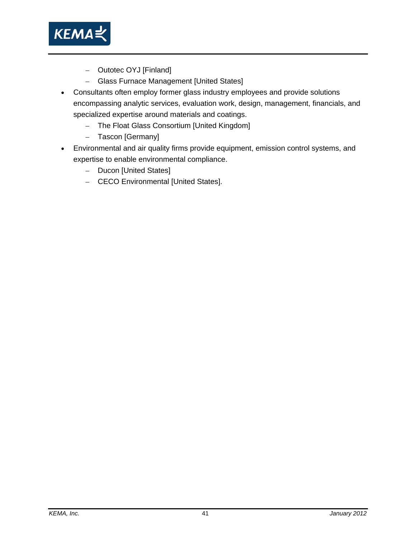

- Outotec OYJ [Finland]
- Glass Furnace Management [United States]
- Consultants often employ former glass industry employees and provide solutions encompassing analytic services, evaluation work, design, management, financials, and specialized expertise around materials and coatings.
	- The Float Glass Consortium [United Kingdom]
	- Tascon [Germany]
- Environmental and air quality firms provide equipment, emission control systems, and expertise to enable environmental compliance.
	- Ducon [United States]
	- CECO Environmental [United States].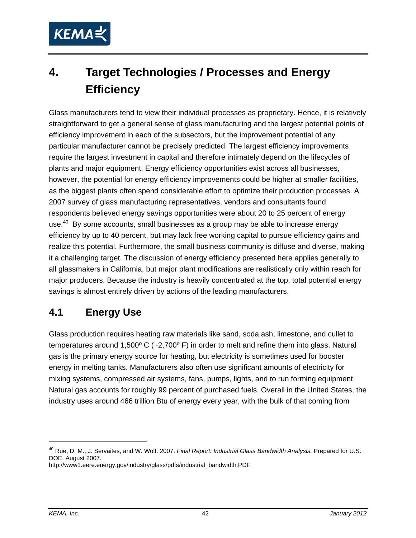

# **4. Target Technologies / Processes and Energy Efficiency**

Glass manufacturers tend to view their individual processes as proprietary. Hence, it is relatively straightforward to get a general sense of glass manufacturing and the largest potential points of efficiency improvement in each of the subsectors, but the improvement potential of any particular manufacturer cannot be precisely predicted. The largest efficiency improvements require the largest investment in capital and therefore intimately depend on the lifecycles of plants and major equipment. Energy efficiency opportunities exist across all businesses, however, the potential for energy efficiency improvements could be higher at smaller facilities, as the biggest plants often spend considerable effort to optimize their production processes. A 2007 survey of glass manufacturing representatives, vendors and consultants found respondents believed energy savings opportunities were about 20 to 25 percent of energy use. $40\,$  By some accounts, small businesses as a group may be able to increase energy efficiency by up to 40 percent, but may lack free working capital to pursue efficiency gains and realize this potential. Furthermore, the small business community is diffuse and diverse, making it a challenging target. The discussion of energy efficiency presented here applies generally to all glassmakers in California, but major plant modifications are realistically only within reach for major producers. Because the industry is heavily concentrated at the top, total potential energy savings is almost entirely driven by actions of the leading manufacturers.

# **4.1 Energy Use**

Glass production requires heating raw materials like sand, soda ash, limestone, and cullet to temperatures around 1,500 $\degree$  C (~2,700 $\degree$  F) in order to melt and refine them into glass. Natural gas is the primary energy source for heating, but electricity is sometimes used for booster energy in melting tanks. Manufacturers also often use significant amounts of electricity for mixing systems, compressed air systems, fans, pumps, lights, and to run forming equipment. Natural gas accounts for roughly 99 percent of purchased fuels. Overall in the United States, the industry uses around 466 trillion Btu of energy every year, with the bulk of that coming from

40 Rue, D. M., J. Servaites, and W. Wolf. 2007. *Final Report: Industrial Glass Bandwidth Analysis*. Prepared for U.S. DOE. August 2007.

 $\overline{a}$ 

http://www1.eere.energy.gov/industry/glass/pdfs/industrial\_bandwidth.PDF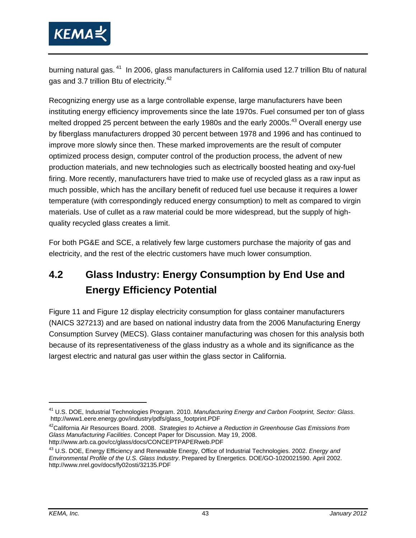

burning natural gas.<sup>41</sup> In 2006, glass manufacturers in California used 12.7 trillion Btu of natural gas and 3.7 trillion Btu of electricity.<sup>42</sup>

Recognizing energy use as a large controllable expense, large manufacturers have been instituting energy efficiency improvements since the late 1970s. Fuel consumed per ton of glass melted dropped 25 percent between the early 1980s and the early 2000s.<sup>43</sup> Overall energy use by fiberglass manufacturers dropped 30 percent between 1978 and 1996 and has continued to improve more slowly since then. These marked improvements are the result of computer optimized process design, computer control of the production process, the advent of new production materials, and new technologies such as electrically boosted heating and oxy-fuel firing. More recently, manufacturers have tried to make use of recycled glass as a raw input as much possible, which has the ancillary benefit of reduced fuel use because it requires a lower temperature (with correspondingly reduced energy consumption) to melt as compared to virgin materials. Use of cullet as a raw material could be more widespread, but the supply of highquality recycled glass creates a limit.

For both PG&E and SCE, a relatively few large customers purchase the majority of gas and electricity, and the rest of the electric customers have much lower consumption.

# **4.2 Glass Industry: Energy Consumption by End Use and Energy Efficiency Potential**

Figure 11 and Figure 12 display electricity consumption for glass container manufacturers (NAICS 327213) and are based on national industry data from the 2006 Manufacturing Energy Consumption Survey (MECS). Glass container manufacturing was chosen for this analysis both because of its representativeness of the glass industry as a whole and its significance as the largest electric and natural gas user within the glass sector in California.

 $\overline{a}$ 

<sup>41</sup> U.S. DOE, Industrial Technologies Program. 2010. *Manufacturing Energy and Carbon Footprint, Sector: Glass*. http://www1.eere.energy.gov/industry/pdfs/glass\_footprint.PDF

<sup>42</sup>California Air Resources Board. 2008. *Strategies to Achieve a Reduction in Greenhouse Gas Emissions from Glass Manufacturing Facilities*. Concept Paper for Discussion. May 19, 2008.

<sup>&</sup>lt;sup>43</sup> U.S. DOE, Energy Efficiency and Renewable Energy, Office of Industrial Technologies. 2002. *Energy and Environmental Profile of the U.S. Glass Industry*. Prepared by Energetics. DOE/GO-1020021590. April 2002. http://www.nrel.gov/docs/fy02osti/32135.PDF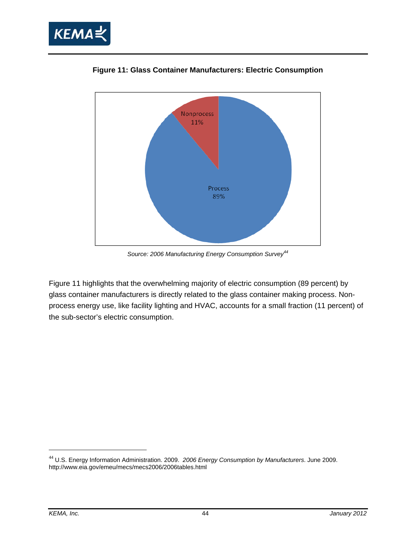



**Figure 11: Glass Container Manufacturers: Electric Consumption** 

*Source: 2006 Manufacturing Energy Consumption Survey<sup>44</sup>*

Figure 11 highlights that the overwhelming majority of electric consumption (89 percent) by glass container manufacturers is directly related to the glass container making process. Nonprocess energy use, like facility lighting and HVAC, accounts for a small fraction (11 percent) of the sub-sector's electric consumption.

<sup>44</sup> U.S. Energy Information Administration. 2009. *2006 Energy Consumption by Manufacturers*. June 2009. http://www.eia.gov/emeu/mecs/mecs2006/2006tables.html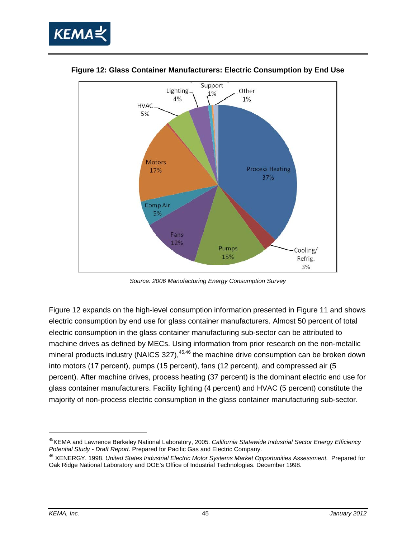



**Figure 12: Glass Container Manufacturers: Electric Consumption by End Use** 

*Source: 2006 Manufacturing Energy Consumption Survey* 

Figure 12 expands on the high-level consumption information presented in Figure 11 and shows electric consumption by end use for glass container manufacturers. Almost 50 percent of total electric consumption in the glass container manufacturing sub-sector can be attributed to machine drives as defined by MECs. Using information from prior research on the non-metallic mineral products industry (NAICS 327), $45,46$  the machine drive consumption can be broken down into motors (17 percent), pumps (15 percent), fans (12 percent), and compressed air (5 percent). After machine drives, process heating (37 percent) is the dominant electric end use for glass container manufacturers. Facility lighting (4 percent) and HVAC (5 percent) constitute the majority of non-process electric consumption in the glass container manufacturing sub-sector.

-

<sup>45</sup>KEMA and Lawrence Berkeley National Laboratory, 2005. *California Statewide Industrial Sector Energy Efficiency* 

<sup>&</sup>lt;sup>46</sup> XENERGY. 1998. United States Industrial Electric Motor Systems Market Opportunities Assessment. Prepared for Oak Ridge National Laboratory and DOE's Office of Industrial Technologies. December 1998.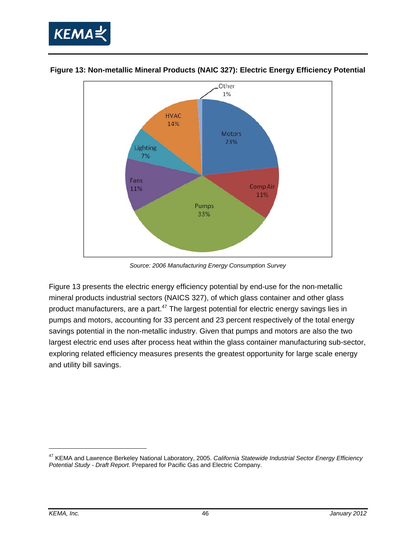



**Figure 13: Non-metallic Mineral Products (NAIC 327): Electric Energy Efficiency Potential**

*Source: 2006 Manufacturing Energy Consumption Survey* 

Figure 13 presents the electric energy efficiency potential by end-use for the non-metallic mineral products industrial sectors (NAICS 327), of which glass container and other glass product manufacturers, are a part.<sup>47</sup> The largest potential for electric energy savings lies in pumps and motors, accounting for 33 percent and 23 percent respectively of the total energy savings potential in the non-metallic industry. Given that pumps and motors are also the two largest electric end uses after process heat within the glass container manufacturing sub-sector, exploring related efficiency measures presents the greatest opportunity for large scale energy and utility bill savings.

<sup>47</sup> KEMA and Lawrence Berkeley National Laboratory, 2005. *California Statewide Industrial Sector Energy Efficiency Potential Study - Draft Report*. Prepared for Pacific Gas and Electric Company.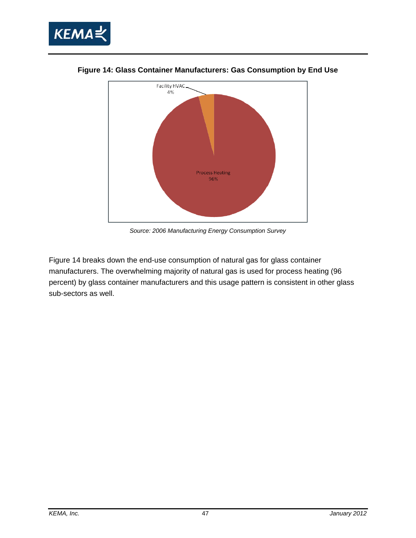



**Figure 14: Glass Container Manufacturers: Gas Consumption by End Use** 

*Source: 2006 Manufacturing Energy Consumption Survey* 

Figure 14 breaks down the end-use consumption of natural gas for glass container manufacturers. The overwhelming majority of natural gas is used for process heating (96 percent) by glass container manufacturers and this usage pattern is consistent in other glass sub-sectors as well.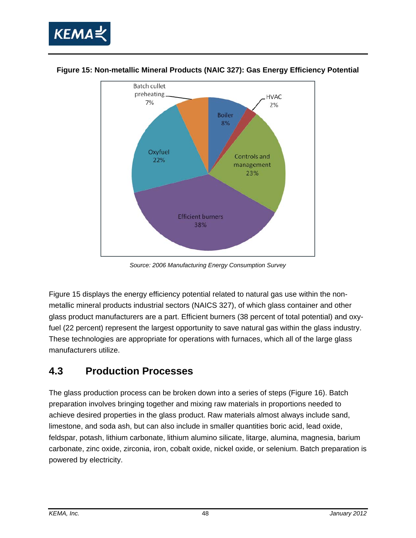



#### **Figure 15: Non-metallic Mineral Products (NAIC 327): Gas Energy Efficiency Potential**

*Source: 2006 Manufacturing Energy Consumption Survey*

Figure 15 displays the energy efficiency potential related to natural gas use within the nonmetallic mineral products industrial sectors (NAICS 327), of which glass container and other glass product manufacturers are a part. Efficient burners (38 percent of total potential) and oxyfuel (22 percent) represent the largest opportunity to save natural gas within the glass industry. These technologies are appropriate for operations with furnaces, which all of the large glass manufacturers utilize.

# **4.3 Production Processes**

The glass production process can be broken down into a series of steps (Figure 16). Batch preparation involves bringing together and mixing raw materials in proportions needed to achieve desired properties in the glass product. Raw materials almost always include sand, limestone, and soda ash, but can also include in smaller quantities boric acid, lead oxide, feldspar, potash, lithium carbonate, lithium alumino silicate, litarge, alumina, magnesia, barium carbonate, zinc oxide, zirconia, iron, cobalt oxide, nickel oxide, or selenium. Batch preparation is powered by electricity.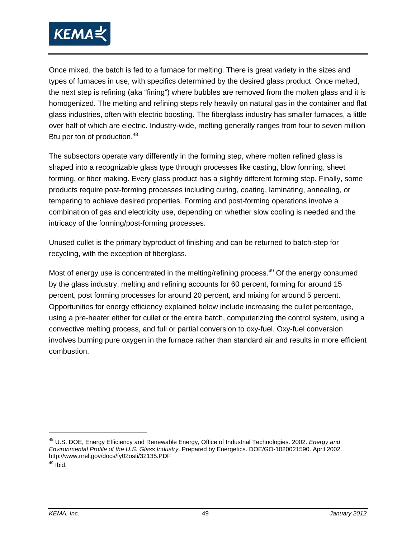

Once mixed, the batch is fed to a furnace for melting. There is great variety in the sizes and types of furnaces in use, with specifics determined by the desired glass product. Once melted, the next step is refining (aka "fining") where bubbles are removed from the molten glass and it is homogenized. The melting and refining steps rely heavily on natural gas in the container and flat glass industries, often with electric boosting. The fiberglass industry has smaller furnaces, a little over half of which are electric. Industry-wide, melting generally ranges from four to seven million Btu per ton of production.<sup>48</sup>

The subsectors operate vary differently in the forming step, where molten refined glass is shaped into a recognizable glass type through processes like casting, blow forming, sheet forming, or fiber making. Every glass product has a slightly different forming step. Finally, some products require post-forming processes including curing, coating, laminating, annealing, or tempering to achieve desired properties. Forming and post-forming operations involve a combination of gas and electricity use, depending on whether slow cooling is needed and the intricacy of the forming/post-forming processes.

Unused cullet is the primary byproduct of finishing and can be returned to batch-step for recycling, with the exception of fiberglass.

Most of energy use is concentrated in the melting/refining process.<sup>49</sup> Of the energy consumed by the glass industry, melting and refining accounts for 60 percent, forming for around 15 percent, post forming processes for around 20 percent, and mixing for around 5 percent. Opportunities for energy efficiency explained below include increasing the cullet percentage, using a pre-heater either for cullet or the entire batch, computerizing the control system, using a convective melting process, and full or partial conversion to oxy-fuel. Oxy-fuel conversion involves burning pure oxygen in the furnace rather than standard air and results in more efficient combustion.

<sup>48</sup> U.S. DOE, Energy Efficiency and Renewable Energy, Office of Industrial Technologies. 2002. *Energy and Environmental Profile of the U.S. Glass Industry*. Prepared by Energetics. DOE/GO-1020021590. April 2002. http://www.nrel.gov/docs/fy02osti/32135.PDF 49 Ibid.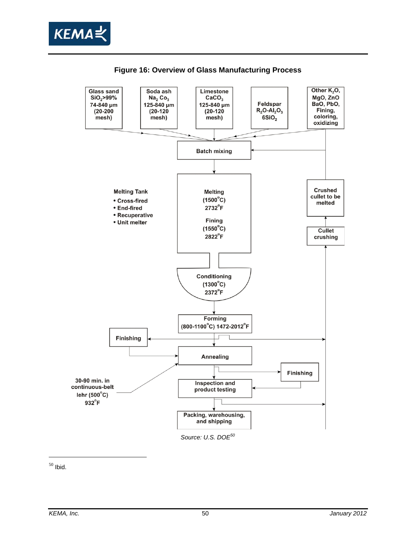



**Figure 16: Overview of Glass Manufacturing Process** 

 $50$  Ibid.

 $\overline{a}$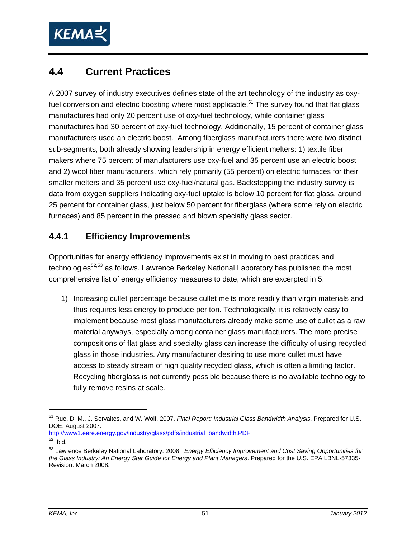

# **4.4 Current Practices**

A 2007 survey of industry executives defines state of the art technology of the industry as oxyfuel conversion and electric boosting where most applicable.<sup>51</sup> The survey found that flat glass manufactures had only 20 percent use of oxy-fuel technology, while container glass manufactures had 30 percent of oxy-fuel technology. Additionally, 15 percent of container glass manufacturers used an electric boost. Among fiberglass manufacturers there were two distinct sub-segments, both already showing leadership in energy efficient melters: 1) textile fiber makers where 75 percent of manufacturers use oxy-fuel and 35 percent use an electric boost and 2) wool fiber manufacturers, which rely primarily (55 percent) on electric furnaces for their smaller melters and 35 percent use oxy-fuel/natural gas. Backstopping the industry survey is data from oxygen suppliers indicating oxy-fuel uptake is below 10 percent for flat glass, around 25 percent for container glass, just below 50 percent for fiberglass (where some rely on electric furnaces) and 85 percent in the pressed and blown specialty glass sector.

#### **4.4.1 Efficiency Improvements**

Opportunities for energy efficiency improvements exist in moving to best practices and technologies<sup>52,53</sup> as follows. Lawrence Berkeley National Laboratory has published the most comprehensive list of energy efficiency measures to date, which are excerpted in 5.

1) Increasing cullet percentage because cullet melts more readily than virgin materials and thus requires less energy to produce per ton. Technologically, it is relatively easy to implement because most glass manufacturers already make some use of cullet as a raw material anyways, especially among container glass manufacturers. The more precise compositions of flat glass and specialty glass can increase the difficulty of using recycled glass in those industries. Any manufacturer desiring to use more cullet must have access to steady stream of high quality recycled glass, which is often a limiting factor. Recycling fiberglass is not currently possible because there is no available technology to fully remove resins at scale.

http://www1.eere.energy.gov/industry/glass/pdfs/industrial\_bandwidth.PDF

-

<sup>51</sup> Rue, D. M., J. Servaites, and W. Wolf. 2007. *Final Report: Industrial Glass Bandwidth Analysis*. Prepared for U.S. DOE. August 2007.

 $52$  Ibid.

<sup>53</sup> Lawrence Berkeley National Laboratory. 2008. *Energy Efficiency Improvement and Cost Saving Opportunities for the Glass Industry: An Energy Star Guide for Energy and Plant Managers*. Prepared for the U.S. EPA LBNL-57335- Revision. March 2008.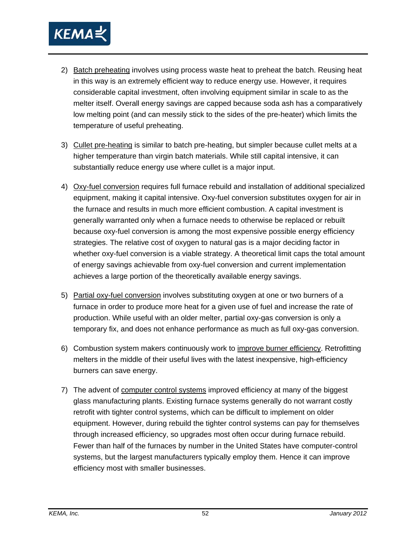

- 2) Batch preheating involves using process waste heat to preheat the batch. Reusing heat in this way is an extremely efficient way to reduce energy use. However, it requires considerable capital investment, often involving equipment similar in scale to as the melter itself. Overall energy savings are capped because soda ash has a comparatively low melting point (and can messily stick to the sides of the pre-heater) which limits the temperature of useful preheating.
- 3) Cullet pre-heating is similar to batch pre-heating, but simpler because cullet melts at a higher temperature than virgin batch materials. While still capital intensive, it can substantially reduce energy use where cullet is a major input.
- 4) Oxy-fuel conversion requires full furnace rebuild and installation of additional specialized equipment, making it capital intensive. Oxy-fuel conversion substitutes oxygen for air in the furnace and results in much more efficient combustion. A capital investment is generally warranted only when a furnace needs to otherwise be replaced or rebuilt because oxy-fuel conversion is among the most expensive possible energy efficiency strategies. The relative cost of oxygen to natural gas is a major deciding factor in whether oxy-fuel conversion is a viable strategy. A theoretical limit caps the total amount of energy savings achievable from oxy-fuel conversion and current implementation achieves a large portion of the theoretically available energy savings.
- 5) Partial oxy-fuel conversion involves substituting oxygen at one or two burners of a furnace in order to produce more heat for a given use of fuel and increase the rate of production. While useful with an older melter, partial oxy-gas conversion is only a temporary fix, and does not enhance performance as much as full oxy-gas conversion.
- 6) Combustion system makers continuously work to improve burner efficiency. Retrofitting melters in the middle of their useful lives with the latest inexpensive, high-efficiency burners can save energy.
- 7) The advent of computer control systems improved efficiency at many of the biggest glass manufacturing plants. Existing furnace systems generally do not warrant costly retrofit with tighter control systems, which can be difficult to implement on older equipment. However, during rebuild the tighter control systems can pay for themselves through increased efficiency, so upgrades most often occur during furnace rebuild. Fewer than half of the furnaces by number in the United States have computer-control systems, but the largest manufacturers typically employ them. Hence it can improve efficiency most with smaller businesses.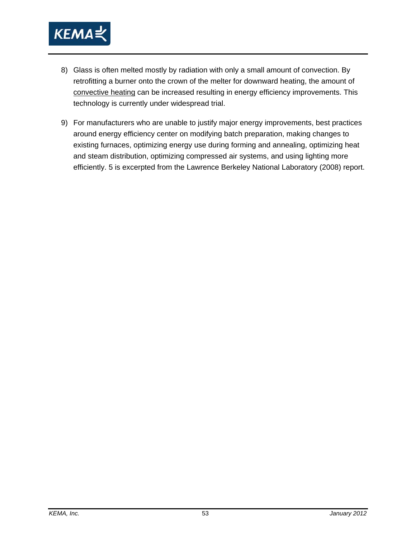

- 8) Glass is often melted mostly by radiation with only a small amount of convection. By retrofitting a burner onto the crown of the melter for downward heating, the amount of convective heating can be increased resulting in energy efficiency improvements. This technology is currently under widespread trial.
- 9) For manufacturers who are unable to justify major energy improvements, best practices around energy efficiency center on modifying batch preparation, making changes to existing furnaces, optimizing energy use during forming and annealing, optimizing heat and steam distribution, optimizing compressed air systems, and using lighting more efficiently. 5 is excerpted from the Lawrence Berkeley National Laboratory (2008) report.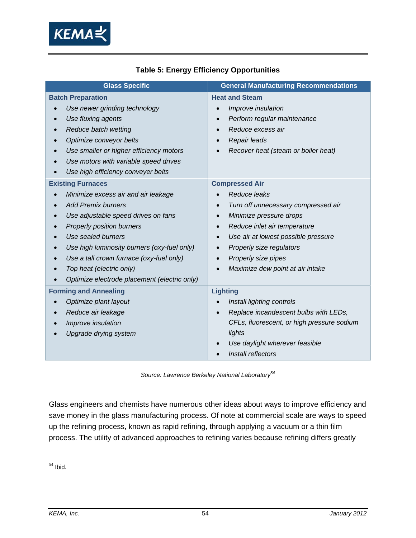

| <b>Glass Specific</b>                            | <b>General Manufacturing Recommendations</b>     |
|--------------------------------------------------|--------------------------------------------------|
| <b>Batch Preparation</b>                         | <b>Heat and Steam</b>                            |
| Use newer grinding technology                    | Improve insulation<br>$\bullet$                  |
| Use fluxing agents                               | Perform regular maintenance<br>$\bullet$         |
| Reduce batch wetting                             | Reduce excess air                                |
| Optimize conveyor belts                          | Repair leads                                     |
| Use smaller or higher efficiency motors          | Recover heat (steam or boiler heat)              |
| Use motors with variable speed drives            |                                                  |
| Use high efficiency conveyer belts               |                                                  |
| <b>Existing Furnaces</b>                         | <b>Compressed Air</b>                            |
| Minimize excess air and air leakage<br>$\bullet$ | Reduce leaks                                     |
| <b>Add Premix burners</b>                        | Turn off unnecessary compressed air<br>$\bullet$ |
| Use adjustable speed drives on fans              | Minimize pressure drops<br>$\bullet$             |
| <b>Properly position burners</b>                 | Reduce inlet air temperature<br>$\bullet$        |
| Use sealed burners                               | Use air at lowest possible pressure<br>$\bullet$ |
| Use high luminosity burners (oxy-fuel only)      | Properly size regulators<br>$\bullet$            |
| Use a tall crown furnace (oxy-fuel only)         | Properly size pipes<br>$\bullet$                 |
| Top heat (electric only)                         | Maximize dew point at air intake<br>$\bullet$    |
| Optimize electrode placement (electric only)     |                                                  |
| <b>Forming and Annealing</b>                     | <b>Lighting</b>                                  |
| Optimize plant layout                            | Install lighting controls                        |
| Reduce air leakage                               | Replace incandescent bulbs with LEDs,            |
| Improve insulation                               | CFLs, fluorescent, or high pressure sodium       |
| Upgrade drying system                            | lights                                           |
|                                                  | Use daylight wherever feasible                   |
|                                                  | Install reflectors                               |

#### **Table 5: Energy Efficiency Opportunities**

*Source: Lawrence Berkeley National Laboratory54* 

Glass engineers and chemists have numerous other ideas about ways to improve efficiency and save money in the glass manufacturing process. Of note at commercial scale are ways to speed up the refining process, known as rapid refining, through applying a vacuum or a thin film process. The utility of advanced approaches to refining varies because refining differs greatly

 $54$  Ibid.

 $\overline{a}$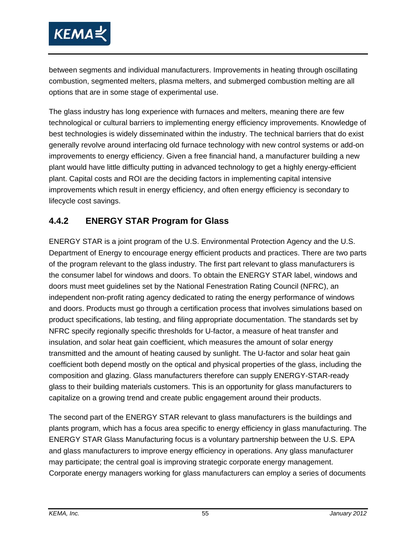

between segments and individual manufacturers. Improvements in heating through oscillating combustion, segmented melters, plasma melters, and submerged combustion melting are all options that are in some stage of experimental use.

The glass industry has long experience with furnaces and melters, meaning there are few technological or cultural barriers to implementing energy efficiency improvements. Knowledge of best technologies is widely disseminated within the industry. The technical barriers that do exist generally revolve around interfacing old furnace technology with new control systems or add-on improvements to energy efficiency. Given a free financial hand, a manufacturer building a new plant would have little difficulty putting in advanced technology to get a highly energy-efficient plant. Capital costs and ROI are the deciding factors in implementing capital intensive improvements which result in energy efficiency, and often energy efficiency is secondary to lifecycle cost savings.

## **4.4.2 ENERGY STAR Program for Glass**

ENERGY STAR is a joint program of the U.S. Environmental Protection Agency and the U.S. Department of Energy to encourage energy efficient products and practices. There are two parts of the program relevant to the glass industry. The first part relevant to glass manufacturers is the consumer label for windows and doors. To obtain the ENERGY STAR label, windows and doors must meet guidelines set by the National Fenestration Rating Council (NFRC), an independent non-profit rating agency dedicated to rating the energy performance of windows and doors. Products must go through a certification process that involves simulations based on product specifications, lab testing, and filing appropriate documentation. The standards set by NFRC specify regionally specific thresholds for U-factor, a measure of heat transfer and insulation, and solar heat gain coefficient, which measures the amount of solar energy transmitted and the amount of heating caused by sunlight. The U-factor and solar heat gain coefficient both depend mostly on the optical and physical properties of the glass, including the composition and glazing. Glass manufacturers therefore can supply ENERGY-STAR-ready glass to their building materials customers. This is an opportunity for glass manufacturers to capitalize on a growing trend and create public engagement around their products.

The second part of the ENERGY STAR relevant to glass manufacturers is the buildings and plants program, which has a focus area specific to energy efficiency in glass manufacturing. The ENERGY STAR Glass Manufacturing focus is a voluntary partnership between the U.S. EPA and glass manufacturers to improve energy efficiency in operations. Any glass manufacturer may participate; the central goal is improving strategic corporate energy management. Corporate energy managers working for glass manufacturers can employ a series of documents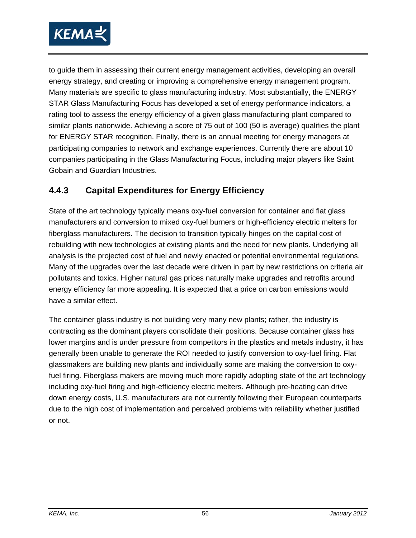

to guide them in assessing their current energy management activities, developing an overall energy strategy, and creating or improving a comprehensive energy management program. Many materials are specific to glass manufacturing industry. Most substantially, the ENERGY STAR Glass Manufacturing Focus has developed a set of energy performance indicators, a rating tool to assess the energy efficiency of a given glass manufacturing plant compared to similar plants nationwide. Achieving a score of 75 out of 100 (50 is average) qualifies the plant for ENERGY STAR recognition. Finally, there is an annual meeting for energy managers at participating companies to network and exchange experiences. Currently there are about 10 companies participating in the Glass Manufacturing Focus, including major players like Saint Gobain and Guardian Industries.

## **4.4.3 Capital Expenditures for Energy Efficiency**

State of the art technology typically means oxy-fuel conversion for container and flat glass manufacturers and conversion to mixed oxy-fuel burners or high-efficiency electric melters for fiberglass manufacturers. The decision to transition typically hinges on the capital cost of rebuilding with new technologies at existing plants and the need for new plants. Underlying all analysis is the projected cost of fuel and newly enacted or potential environmental regulations. Many of the upgrades over the last decade were driven in part by new restrictions on criteria air pollutants and toxics. Higher natural gas prices naturally make upgrades and retrofits around energy efficiency far more appealing. It is expected that a price on carbon emissions would have a similar effect.

The container glass industry is not building very many new plants; rather, the industry is contracting as the dominant players consolidate their positions. Because container glass has lower margins and is under pressure from competitors in the plastics and metals industry, it has generally been unable to generate the ROI needed to justify conversion to oxy-fuel firing. Flat glassmakers are building new plants and individually some are making the conversion to oxyfuel firing. Fiberglass makers are moving much more rapidly adopting state of the art technology including oxy-fuel firing and high-efficiency electric melters. Although pre-heating can drive down energy costs, U.S. manufacturers are not currently following their European counterparts due to the high cost of implementation and perceived problems with reliability whether justified or not.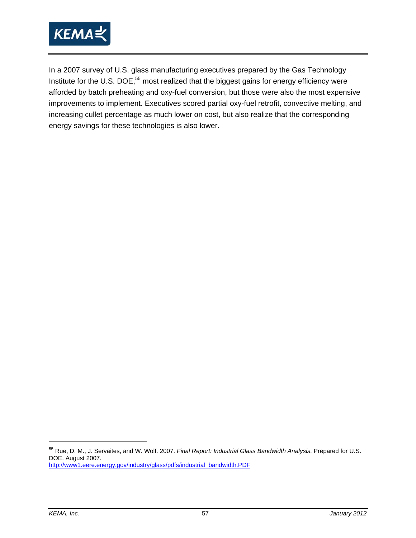

In a 2007 survey of U.S. glass manufacturing executives prepared by the Gas Technology Institute for the U.S. DOE,<sup>55</sup> most realized that the biggest gains for energy efficiency were afforded by batch preheating and oxy-fuel conversion, but those were also the most expensive improvements to implement. Executives scored partial oxy-fuel retrofit, convective melting, and increasing cullet percentage as much lower on cost, but also realize that the corresponding energy savings for these technologies is also lower.

 $\overline{a}$ 

<sup>55</sup> Rue, D. M., J. Servaites, and W. Wolf. 2007. *Final Report: Industrial Glass Bandwidth Analysis*. Prepared for U.S. DOE. August 2007. http://www1.eere.energy.gov/industry/glass/pdfs/industrial\_bandwidth.PDF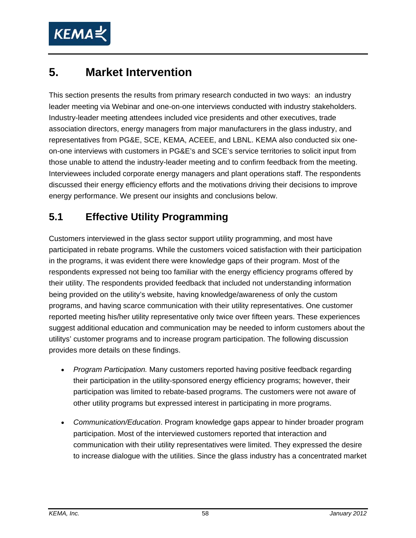

# **5. Market Intervention**

This section presents the results from primary research conducted in two ways: an industry leader meeting via Webinar and one-on-one interviews conducted with industry stakeholders. Industry-leader meeting attendees included vice presidents and other executives, trade association directors, energy managers from major manufacturers in the glass industry, and representatives from PG&E, SCE, KEMA, ACEEE, and LBNL. KEMA also conducted six oneon-one interviews with customers in PG&E's and SCE's service territories to solicit input from those unable to attend the industry-leader meeting and to confirm feedback from the meeting. Interviewees included corporate energy managers and plant operations staff. The respondents discussed their energy efficiency efforts and the motivations driving their decisions to improve energy performance. We present our insights and conclusions below.

# **5.1 Effective Utility Programming**

Customers interviewed in the glass sector support utility programming, and most have participated in rebate programs. While the customers voiced satisfaction with their participation in the programs, it was evident there were knowledge gaps of their program. Most of the respondents expressed not being too familiar with the energy efficiency programs offered by their utility. The respondents provided feedback that included not understanding information being provided on the utility's website, having knowledge/awareness of only the custom programs, and having scarce communication with their utility representatives. One customer reported meeting his/her utility representative only twice over fifteen years. These experiences suggest additional education and communication may be needed to inform customers about the utilitys' customer programs and to increase program participation. The following discussion provides more details on these findings.

- *Program Participation.* Many customers reported having positive feedback regarding their participation in the utility-sponsored energy efficiency programs; however, their participation was limited to rebate-based programs. The customers were not aware of other utility programs but expressed interest in participating in more programs.
- *Communication/Education*. Program knowledge gaps appear to hinder broader program participation. Most of the interviewed customers reported that interaction and communication with their utility representatives were limited. They expressed the desire to increase dialogue with the utilities. Since the glass industry has a concentrated market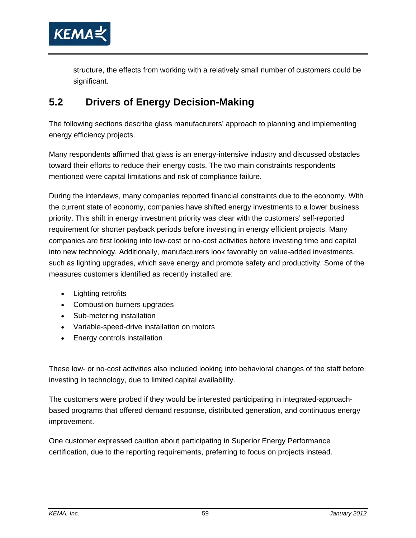

structure, the effects from working with a relatively small number of customers could be significant.

# **5.2 Drivers of Energy Decision-Making**

The following sections describe glass manufacturers' approach to planning and implementing energy efficiency projects.

Many respondents affirmed that glass is an energy-intensive industry and discussed obstacles toward their efforts to reduce their energy costs. The two main constraints respondents mentioned were capital limitations and risk of compliance failure.

During the interviews, many companies reported financial constraints due to the economy. With the current state of economy, companies have shifted energy investments to a lower business priority. This shift in energy investment priority was clear with the customers' self-reported requirement for shorter payback periods before investing in energy efficient projects. Many companies are first looking into low-cost or no-cost activities before investing time and capital into new technology. Additionally, manufacturers look favorably on value-added investments, such as lighting upgrades, which save energy and promote safety and productivity. Some of the measures customers identified as recently installed are:

- Lighting retrofits
- Combustion burners upgrades
- Sub-metering installation
- Variable-speed-drive installation on motors
- Energy controls installation

These low- or no-cost activities also included looking into behavioral changes of the staff before investing in technology, due to limited capital availability.

The customers were probed if they would be interested participating in integrated-approachbased programs that offered demand response, distributed generation, and continuous energy improvement.

One customer expressed caution about participating in Superior Energy Performance certification, due to the reporting requirements, preferring to focus on projects instead.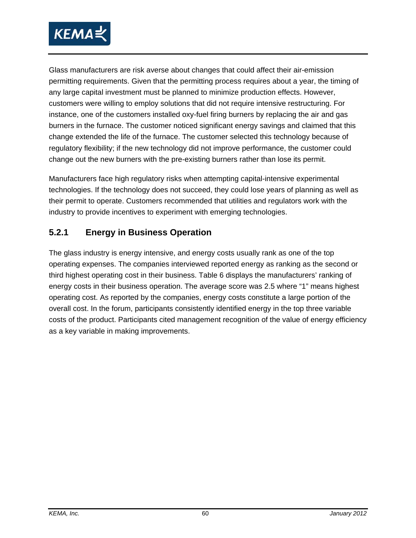

Glass manufacturers are risk averse about changes that could affect their air-emission permitting requirements. Given that the permitting process requires about a year, the timing of any large capital investment must be planned to minimize production effects. However, customers were willing to employ solutions that did not require intensive restructuring. For instance, one of the customers installed oxy-fuel firing burners by replacing the air and gas burners in the furnace. The customer noticed significant energy savings and claimed that this change extended the life of the furnace. The customer selected this technology because of regulatory flexibility; if the new technology did not improve performance, the customer could change out the new burners with the pre-existing burners rather than lose its permit.

Manufacturers face high regulatory risks when attempting capital-intensive experimental technologies. If the technology does not succeed, they could lose years of planning as well as their permit to operate. Customers recommended that utilities and regulators work with the industry to provide incentives to experiment with emerging technologies.

## **5.2.1 Energy in Business Operation**

The glass industry is energy intensive, and energy costs usually rank as one of the top operating expenses. The companies interviewed reported energy as ranking as the second or third highest operating cost in their business. Table 6 displays the manufacturers' ranking of energy costs in their business operation. The average score was 2.5 where "1" means highest operating cost. As reported by the companies, energy costs constitute a large portion of the overall cost. In the forum, participants consistently identified energy in the top three variable costs of the product. Participants cited management recognition of the value of energy efficiency as a key variable in making improvements.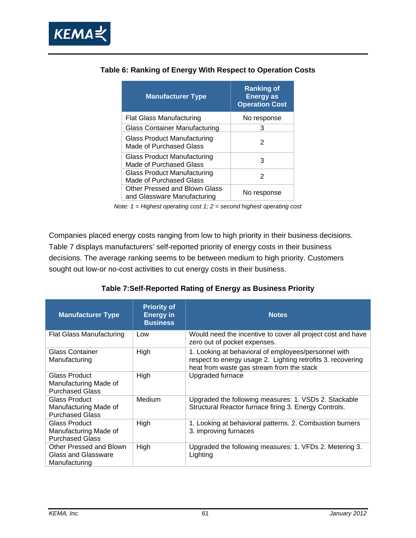

| <b>Manufacturer Type</b>                                      | <b>Ranking of</b><br><b>Energy as</b><br><b>Operation Cost</b> |
|---------------------------------------------------------------|----------------------------------------------------------------|
| Flat Glass Manufacturing                                      | No response                                                    |
| Glass Container Manufacturing                                 | З                                                              |
| <b>Glass Product Manufacturing</b><br>Made of Purchased Glass | 2                                                              |
| Glass Product Manufacturing<br>Made of Purchased Glass        | З                                                              |
| Glass Product Manufacturing<br>Made of Purchased Glass        | 2                                                              |
| Other Pressed and Blown Glass<br>and Glassware Manufacturing  | No response                                                    |

#### **Table 6: Ranking of Energy With Respect to Operation Costs**

*Note: 1 = Highest operating cost 1; 2 = second highest operating cost* 

Companies placed energy costs ranging from low to high priority in their business decisions. Table 7 displays manufacturers' self-reported priority of energy costs in their business decisions. The average ranking seems to be between medium to high priority. Customers sought out low-or no-cost activities to cut energy costs in their business.

| <b>Manufacturer Type</b>                                                | <b>Priority of</b><br><b>Energy in</b><br><b>Business</b> | <b>Notes</b>                                                                                                                                                     |
|-------------------------------------------------------------------------|-----------------------------------------------------------|------------------------------------------------------------------------------------------------------------------------------------------------------------------|
| Flat Glass Manufacturing                                                | Low                                                       | Would need the incentive to cover all project cost and have<br>zero out of pocket expenses.                                                                      |
| Glass Container<br>Manufacturing                                        | High                                                      | 1. Looking at behavioral of employees/personnel with<br>respect to energy usage 2. Lighting retrofits 3. recovering<br>heat from waste gas stream from the stack |
| <b>Glass Product</b><br>Manufacturing Made of<br><b>Purchased Glass</b> | High                                                      | Upgraded furnace                                                                                                                                                 |
| Glass Product<br>Manufacturing Made of<br><b>Purchased Glass</b>        | Medium                                                    | Upgraded the following measures: 1. VSDs 2. Stackable<br>Structural Reactor furnace firing 3. Energy Controls.                                                   |
| Glass Product<br>Manufacturing Made of<br><b>Purchased Glass</b>        | High                                                      | 1. Looking at behavioral patterns. 2. Combustion burners<br>3. improving furnaces                                                                                |
| Other Pressed and Blown<br>Glass and Glassware<br>Manufacturing         | High                                                      | Upgraded the following measures: 1. VFDs 2. Metering 3.<br>Lighting                                                                                              |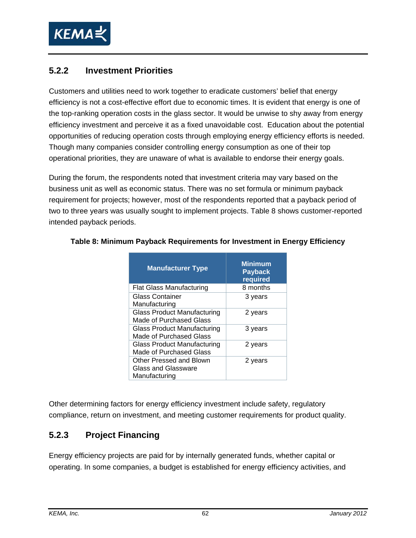

#### **5.2.2 Investment Priorities**

Customers and utilities need to work together to eradicate customers' belief that energy efficiency is not a cost-effective effort due to economic times. It is evident that energy is one of the top-ranking operation costs in the glass sector. It would be unwise to shy away from energy efficiency investment and perceive it as a fixed unavoidable cost. Education about the potential opportunities of reducing operation costs through employing energy efficiency efforts is needed. Though many companies consider controlling energy consumption as one of their top operational priorities, they are unaware of what is available to endorse their energy goals.

During the forum, the respondents noted that investment criteria may vary based on the business unit as well as economic status. There was no set formula or minimum payback requirement for projects; however, most of the respondents reported that a payback period of two to three years was usually sought to implement projects. Table 8 shows customer-reported intended payback periods.

| <b>Manufacturer Type</b>                                             | <b>Minimum</b><br><b>Payback</b><br>required |
|----------------------------------------------------------------------|----------------------------------------------|
| <b>Flat Glass Manufacturing</b>                                      | 8 months                                     |
| <b>Glass Container</b><br>Manufacturing                              | 3 years                                      |
| <b>Glass Product Manufacturing</b><br><b>Made of Purchased Glass</b> | 2 years                                      |
| <b>Glass Product Manufacturing</b><br><b>Made of Purchased Glass</b> | 3 years                                      |
| <b>Glass Product Manufacturing</b><br>Made of Purchased Glass        | 2 years                                      |
| Other Pressed and Blown<br>Glass and Glassware<br>Manufacturing      | 2 years                                      |

#### **Table 8: Minimum Payback Requirements for Investment in Energy Efficiency**

Other determining factors for energy efficiency investment include safety, regulatory compliance, return on investment, and meeting customer requirements for product quality.

## **5.2.3 Project Financing**

Energy efficiency projects are paid for by internally generated funds, whether capital or operating. In some companies, a budget is established for energy efficiency activities, and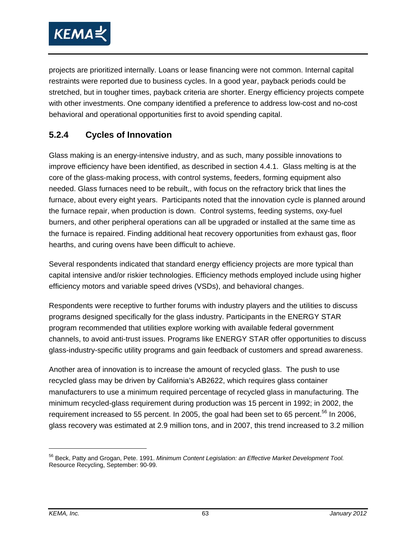

projects are prioritized internally. Loans or lease financing were not common. Internal capital restraints were reported due to business cycles. In a good year, payback periods could be stretched, but in tougher times, payback criteria are shorter. Energy efficiency projects compete with other investments. One company identified a preference to address low-cost and no-cost behavioral and operational opportunities first to avoid spending capital.

# **5.2.4 Cycles of Innovation**

Glass making is an energy-intensive industry, and as such, many possible innovations to improve efficiency have been identified, as described in section 4.4.1. Glass melting is at the core of the glass-making process, with control systems, feeders, forming equipment also needed. Glass furnaces need to be rebuilt,, with focus on the refractory brick that lines the furnace, about every eight years. Participants noted that the innovation cycle is planned around the furnace repair, when production is down. Control systems, feeding systems, oxy-fuel burners, and other peripheral operations can all be upgraded or installed at the same time as the furnace is repaired. Finding additional heat recovery opportunities from exhaust gas, floor hearths, and curing ovens have been difficult to achieve.

Several respondents indicated that standard energy efficiency projects are more typical than capital intensive and/or riskier technologies. Efficiency methods employed include using higher efficiency motors and variable speed drives (VSDs), and behavioral changes.

Respondents were receptive to further forums with industry players and the utilities to discuss programs designed specifically for the glass industry. Participants in the ENERGY STAR program recommended that utilities explore working with available federal government channels, to avoid anti-trust issues. Programs like ENERGY STAR offer opportunities to discuss glass-industry-specific utility programs and gain feedback of customers and spread awareness.

Another area of innovation is to increase the amount of recycled glass. The push to use recycled glass may be driven by California's AB2622, which requires glass container manufacturers to use a minimum required percentage of recycled glass in manufacturing. The minimum recycled-glass requirement during production was 15 percent in 1992; in 2002, the requirement increased to 55 percent. In 2005, the goal had been set to 65 percent.<sup>56</sup> In 2006, glass recovery was estimated at 2.9 million tons, and in 2007, this trend increased to 3.2 million

-

<sup>56</sup> Beck, Patty and Grogan, Pete. 1991. *Minimum Content Legislation: an Effective Market Development Tool.*  Resource Recycling, September: 90-99.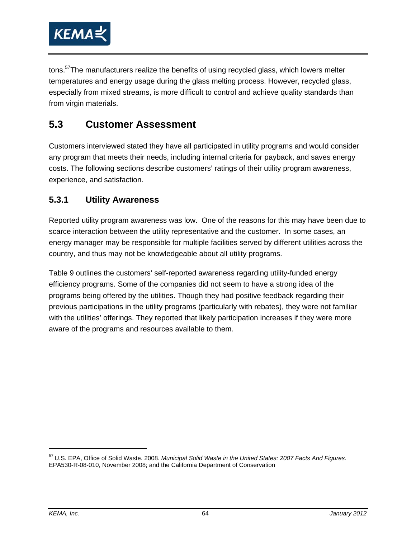

tons.<sup>57</sup>The manufacturers realize the benefits of using recycled glass, which lowers melter temperatures and energy usage during the glass melting process. However, recycled glass, especially from mixed streams, is more difficult to control and achieve quality standards than from virgin materials.

# **5.3 Customer Assessment**

Customers interviewed stated they have all participated in utility programs and would consider any program that meets their needs, including internal criteria for payback, and saves energy costs. The following sections describe customers' ratings of their utility program awareness, experience, and satisfaction.

#### **5.3.1 Utility Awareness**

Reported utility program awareness was low. One of the reasons for this may have been due to scarce interaction between the utility representative and the customer. In some cases, an energy manager may be responsible for multiple facilities served by different utilities across the country, and thus may not be knowledgeable about all utility programs.

Table 9 outlines the customers' self-reported awareness regarding utility-funded energy efficiency programs. Some of the companies did not seem to have a strong idea of the programs being offered by the utilities. Though they had positive feedback regarding their previous participations in the utility programs (particularly with rebates), they were not familiar with the utilities' offerings. They reported that likely participation increases if they were more aware of the programs and resources available to them.

<sup>57</sup> U.S. EPA, Office of Solid Waste. 2008. *Municipal Solid Waste in the United States: 2007 Facts And Figures.* EPA530-R-08-010, November 2008; and the California Department of Conservation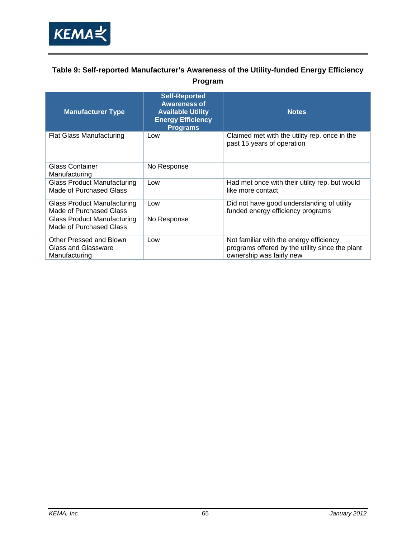

#### **Table 9: Self-reported Manufacturer's Awareness of the Utility-funded Energy Efficiency Program**

| <b>Manufacturer Type</b>                                        | <b>Self-Reported</b><br><b>Awareness of</b><br><b>Available Utility</b><br><b>Energy Efficiency</b><br><b>Programs</b> | <b>Notes</b>                                                                                                           |
|-----------------------------------------------------------------|------------------------------------------------------------------------------------------------------------------------|------------------------------------------------------------------------------------------------------------------------|
| <b>Flat Glass Manufacturing</b>                                 | Low                                                                                                                    | Claimed met with the utility rep. once in the<br>past 15 years of operation                                            |
| <b>Glass Container</b><br>Manufacturing                         | No Response                                                                                                            |                                                                                                                        |
| <b>Glass Product Manufacturing</b><br>Made of Purchased Glass   | Low                                                                                                                    | Had met once with their utility rep. but would<br>like more contact                                                    |
| Glass Product Manufacturing<br>Made of Purchased Glass          | Low                                                                                                                    | Did not have good understanding of utility<br>funded energy efficiency programs                                        |
| Glass Product Manufacturing<br>Made of Purchased Glass          | No Response                                                                                                            |                                                                                                                        |
| Other Pressed and Blown<br>Glass and Glassware<br>Manufacturing | Low                                                                                                                    | Not familiar with the energy efficiency<br>programs offered by the utility since the plant<br>ownership was fairly new |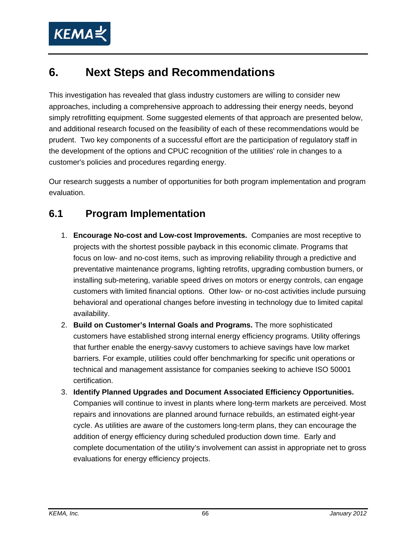

# **6. Next Steps and Recommendations**

This investigation has revealed that glass industry customers are willing to consider new approaches, including a comprehensive approach to addressing their energy needs, beyond simply retrofitting equipment. Some suggested elements of that approach are presented below, and additional research focused on the feasibility of each of these recommendations would be prudent. Two key components of a successful effort are the participation of regulatory staff in the development of the options and CPUC recognition of the utilities' role in changes to a customer's policies and procedures regarding energy.

Our research suggests a number of opportunities for both program implementation and program evaluation.

# **6.1 Program Implementation**

- 1. **Encourage No-cost and Low-cost Improvements.** Companies are most receptive to projects with the shortest possible payback in this economic climate. Programs that focus on low- and no-cost items, such as improving reliability through a predictive and preventative maintenance programs, lighting retrofits, upgrading combustion burners, or installing sub-metering, variable speed drives on motors or energy controls, can engage customers with limited financial options. Other low- or no-cost activities include pursuing behavioral and operational changes before investing in technology due to limited capital availability.
- 2. **Build on Customer's Internal Goals and Programs.** The more sophisticated customers have established strong internal energy efficiency programs. Utility offerings that further enable the energy-savvy customers to achieve savings have low market barriers. For example, utilities could offer benchmarking for specific unit operations or technical and management assistance for companies seeking to achieve ISO 50001 certification.
- 3. **Identify Planned Upgrades and Document Associated Efficiency Opportunities.** Companies will continue to invest in plants where long-term markets are perceived. Most repairs and innovations are planned around furnace rebuilds, an estimated eight-year cycle. As utilities are aware of the customers long-term plans, they can encourage the addition of energy efficiency during scheduled production down time. Early and complete documentation of the utility's involvement can assist in appropriate net to gross evaluations for energy efficiency projects.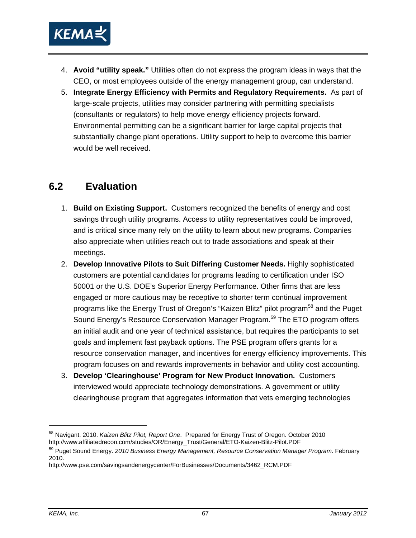

- 4. **Avoid "utility speak."** Utilities often do not express the program ideas in ways that the CEO, or most employees outside of the energy management group, can understand.
- 5. **Integrate Energy Efficiency with Permits and Regulatory Requirements.** As part of large-scale projects, utilities may consider partnering with permitting specialists (consultants or regulators) to help move energy efficiency projects forward. Environmental permitting can be a significant barrier for large capital projects that substantially change plant operations. Utility support to help to overcome this barrier would be well received.

### **6.2 Evaluation**

- 1. **Build on Existing Support.** Customers recognized the benefits of energy and cost savings through utility programs. Access to utility representatives could be improved, and is critical since many rely on the utility to learn about new programs. Companies also appreciate when utilities reach out to trade associations and speak at their meetings.
- 2. **Develop Innovative Pilots to Suit Differing Customer Needs.** Highly sophisticated customers are potential candidates for programs leading to certification under ISO 50001 or the U.S. DOE's Superior Energy Performance. Other firms that are less engaged or more cautious may be receptive to shorter term continual improvement programs like the Energy Trust of Oregon's "Kaizen Blitz" pilot program<sup>58</sup> and the Puget Sound Energy's Resource Conservation Manager Program.<sup>59</sup> The ETO program offers an initial audit and one year of technical assistance, but requires the participants to set goals and implement fast payback options. The PSE program offers grants for a resource conservation manager, and incentives for energy efficiency improvements. This program focuses on and rewards improvements in behavior and utility cost accounting.
- 3. **Develop 'Clearinghouse' Program for New Product Innovation.** Customers interviewed would appreciate technology demonstrations. A government or utility clearinghouse program that aggregates information that vets emerging technologies

 $\overline{a}$ 

<sup>&</sup>lt;sup>58</sup> Navigant. 2010. *Kaizen Blitz Pilot, Report One*. Prepared for Energy Trust of Oregon. October 2010<br>http://www.affiliatedrecon.com/studies/OR/Energy\_Trust/General/ETO-Kaizen-Blitz-Pilot.PDF

<sup>&</sup>lt;sup>59</sup> Puget Sound Energy. 2010 Business Energy Management, Resource Conservation Manager Program. February 2010.

http://www.pse.com/savingsandenergycenter/ForBusinesses/Documents/3462\_RCM.PDF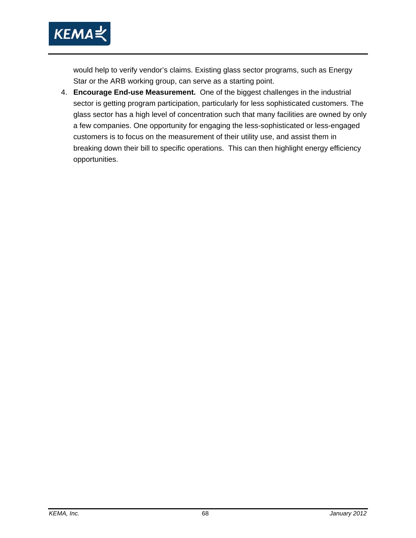

would help to verify vendor's claims. Existing glass sector programs, such as Energy Star or the ARB working group, can serve as a starting point.

4. **Encourage End-use Measurement.** One of the biggest challenges in the industrial sector is getting program participation, particularly for less sophisticated customers. The glass sector has a high level of concentration such that many facilities are owned by only a few companies. One opportunity for engaging the less-sophisticated or less-engaged customers is to focus on the measurement of their utility use, and assist them in breaking down their bill to specific operations. This can then highlight energy efficiency opportunities.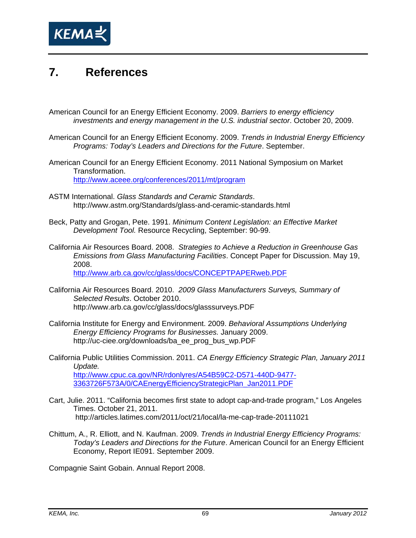

## **7. References**

- American Council for an Energy Efficient Economy. 2009. *Barriers to energy efficiency investments and energy management in the U.S. industrial sector*. October 20, 2009.
- American Council for an Energy Efficient Economy. 2009. *Trends in Industrial Energy Efficiency Programs: Today's Leaders and Directions for the Future*. September.
- American Council for an Energy Efficient Economy. 2011 National Symposium on Market Transformation. http://www.aceee.org/conferences/2011/mt/program
- ASTM International. *Glass Standards and Ceramic Standards*. http://www.astm.org/Standards/glass-and-ceramic-standards.html
- Beck, Patty and Grogan, Pete. 1991. *Minimum Content Legislation: an Effective Market Development Tool.* Resource Recycling, September: 90-99.
- California Air Resources Board. 2008. *Strategies to Achieve a Reduction in Greenhouse Gas Emissions from Glass Manufacturing Facilities*. Concept Paper for Discussion. May 19, 2008. http://www.arb.ca.gov/cc/glass/docs/CONCEPTPAPERweb.PDF

- California Air Resources Board. 2010. *2009 Glass Manufacturers Surveys, Summary of Selected Results*. October 2010. http://www.arb.ca.gov/cc/glass/docs/glasssurveys.PDF
- California Institute for Energy and Environment. 2009. *Behavioral Assumptions Underlying Energy Efficiency Programs for Businesses.* January 2009. http://uc-ciee.org/downloads/ba\_ee\_prog\_bus\_wp.PDF
- California Public Utilities Commission. 2011. *CA Energy Efficiency Strategic Plan, January 2011 Update.* http://www.cpuc.ca.gov/NR/rdonlyres/A54B59C2-D571-440D-9477- 3363726F573A/0/CAEnergyEfficiencyStrategicPlan\_Jan2011.PDF
- Cart, Julie. 2011. "California becomes first state to adopt cap-and-trade program," Los Angeles Times. October 21, 2011. http://articles.latimes.com/2011/oct/21/local/la-me-cap-trade-20111021
- Chittum, A., R. Elliott, and N. Kaufman. 2009. *Trends in Industrial Energy Efficiency Programs: Today's Leaders and Directions for the Future*. American Council for an Energy Efficient Economy, Report IE091. September 2009.

Compagnie Saint Gobain. Annual Report 2008.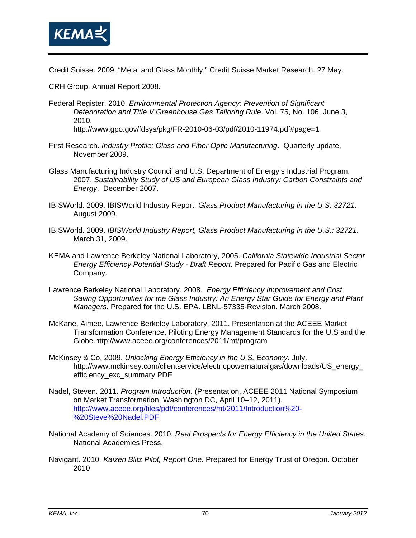

Credit Suisse. 2009. "Metal and Glass Monthly." Credit Suisse Market Research. 27 May.

CRH Group. Annual Report 2008.

Federal Register. 2010. *Environmental Protection Agency: Prevention of Significant Deterioration and Title V Greenhouse Gas Tailoring Rule*. Vol. 75, No. 106, June 3, 2010.

http://www.gpo.gov/fdsys/pkg/FR-2010-06-03/pdf/2010-11974.pdf#page=1

- First Research. *Industry Profile: Glass and Fiber Optic Manufacturing*. Quarterly update, November 2009.
- Glass Manufacturing Industry Council and U.S. Department of Energy's Industrial Program. 2007. *Sustainability Study of US and European Glass Industry: Carbon Constraints and Energy*. December 2007.
- IBISWorld. 2009. IBISWorld Industry Report. *Glass Product Manufacturing in the U.S: 32721*. August 2009.
- IBISWorld. 2009. *IBISWorld Industry Report, Glass Product Manufacturing in the U.S.: 32721*. March 31, 2009.
- KEMA and Lawrence Berkeley National Laboratory, 2005. *California Statewide Industrial Sector Energy Efficiency Potential Study - Draft Report.* Prepared for Pacific Gas and Electric Company.
- Lawrence Berkeley National Laboratory. 2008. *Energy Efficiency Improvement and Cost Saving Opportunities for the Glass Industry: An Energy Star Guide for Energy and Plant Managers.* Prepared for the U.S. EPA. LBNL-57335-Revision. March 2008.
- McKane, Aimee, Lawrence Berkeley Laboratory, 2011. Presentation at the ACEEE Market Transformation Conference, Piloting Energy Management Standards for the U.S and the Globe.http://www.aceee.org/conferences/2011/mt/program
- McKinsey & Co. 2009. *Unlocking Energy Efficiency in the U.S. Economy.* July. http://www.mckinsey.com/clientservice/electricpowernaturalgas/downloads/US\_energy\_ efficiency\_exc\_summary.PDF
- Nadel, Steven. 2011. *Program Introduction*. (Presentation, ACEEE 2011 National Symposium on Market Transformation, Washington DC, April 10–12, 2011). http://www.aceee.org/files/pdf/conferences/mt/2011/Introduction%20- %20Steve%20Nadel.PDF
- National Academy of Sciences. 2010. *Real Prospects for Energy Efficiency in the United States*. National Academies Press.
- Navigant. 2010. *Kaizen Blitz Pilot, Report One.* Prepared for Energy Trust of Oregon. October 2010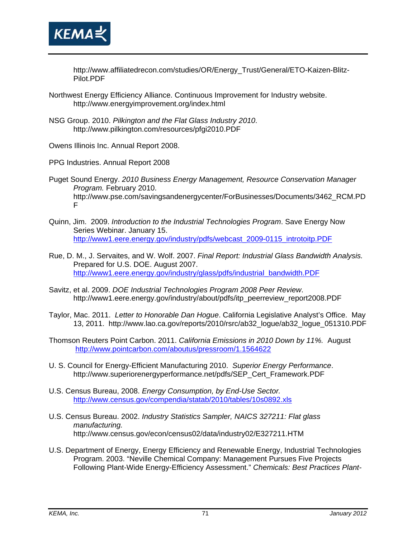

http://www.affiliatedrecon.com/studies/OR/Energy\_Trust/General/ETO-Kaizen-Blitz-Pilot.PDF

- Northwest Energy Efficiency Alliance. Continuous Improvement for Industry website. http://www.energyimprovement.org/index.html
- NSG Group. 2010. *Pilkington and the Flat Glass Industry 2010*. http://www.pilkington.com/resources/pfgi2010.PDF
- Owens Illinois Inc. Annual Report 2008.
- PPG Industries. Annual Report 2008
- Puget Sound Energy. *2010 Business Energy Management, Resource Conservation Manager Program.* February 2010. http://www.pse.com/savingsandenergycenter/ForBusinesses/Documents/3462\_RCM.PD F
- Quinn, Jim. 2009. *Introduction to the Industrial Technologies Program*. Save Energy Now Series Webinar. January 15. http://www1.eere.energy.gov/industry/pdfs/webcast\_2009-0115\_introtoitp.PDF
- Rue, D. M., J. Servaites, and W. Wolf. 2007. *Final Report: Industrial Glass Bandwidth Analysis.* Prepared for U.S. DOE. August 2007. http://www1.eere.energy.gov/industry/glass/pdfs/industrial\_bandwidth.PDF
- Savitz, et al. 2009. *DOE Industrial Technologies Program 2008 Peer Review*. http://www1.eere.energy.gov/industry/about/pdfs/itp\_peerreview\_report2008.PDF
- Taylor, Mac. 2011. *Letter to Honorable Dan Hogue*. California Legislative Analyst's Office. May 13, 2011. http://www.lao.ca.gov/reports/2010/rsrc/ab32\_logue/ab32\_logue\_051310.PDF
- Thomson Reuters Point Carbon. 2011. *California Emissions in 2010 Down by 11%.* August http://www.pointcarbon.com/aboutus/pressroom/1.1564622
- U. S. Council for Energy-Efficient Manufacturing 2010. *Superior Energy Performance*. http://www.superiorenergyperformance.net/pdfs/SEP\_Cert\_Framework.PDF
- U.S. Census Bureau, 2008. *Energy Consumption, by End-Use Sector.*  http://www.census.gov/compendia/statab/2010/tables/10s0892.xls
- U.S. Census Bureau. 2002. *Industry Statistics Sampler, NAICS 327211: Flat glass manufacturing.* http://www.census.gov/econ/census02/data/industry02/E327211.HTM
- U.S. Department of Energy, Energy Efficiency and Renewable Energy, Industrial Technologies Program. 2003. "Neville Chemical Company: Management Pursues Five Projects Following Plant-Wide Energy-Efficiency Assessment." *Chemicals: Best Practices Plant-*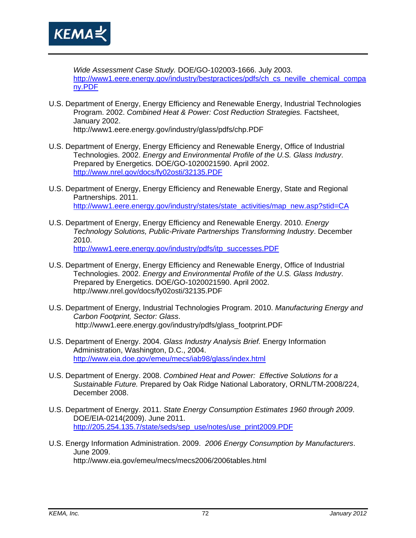

*Wide Assessment Case Study.* DOE/GO-102003-1666. July 2003. http://www1.eere.energy.gov/industry/bestpractices/pdfs/ch\_cs\_neville\_chemical\_compa ny.PDF

- U.S. Department of Energy, Energy Efficiency and Renewable Energy, Industrial Technologies Program. 2002. *Combined Heat & Power: Cost Reduction Strategies.* Factsheet, January 2002. http://www1.eere.energy.gov/industry/glass/pdfs/chp.PDF
- U.S. Department of Energy, Energy Efficiency and Renewable Energy, Office of Industrial Technologies. 2002. *Energy and Environmental Profile of the U.S. Glass Industry*. Prepared by Energetics. DOE/GO-1020021590. April 2002. http://www.nrel.gov/docs/fy02osti/32135.PDF
- U.S. Department of Energy, Energy Efficiency and Renewable Energy, State and Regional Partnerships. 2011. http://www1.eere.energy.gov/industry/states/state\_activities/map\_new.asp?stid=CA
- U.S. Department of Energy, Energy Efficiency and Renewable Energy. 2010. *Energy Technology Solutions, Public-Private Partnerships Transforming Industry*. December 2010.

http://www1.eere.energy.gov/industry/pdfs/itp\_successes.PDF

- U.S. Department of Energy, Energy Efficiency and Renewable Energy, Office of Industrial Technologies. 2002. *Energy and Environmental Profile of the U.S. Glass Industry*. Prepared by Energetics. DOE/GO-1020021590. April 2002. http://www.nrel.gov/docs/fy02osti/32135.PDF
- U.S. Department of Energy, Industrial Technologies Program. 2010. *Manufacturing Energy and Carbon Footprint, Sector: Glass*. http://www1.eere.energy.gov/industry/pdfs/glass\_footprint.PDF
- U.S. Department of Energy. 2004. *Glass Industry Analysis Brief.* Energy Information Administration, Washington, D.C., 2004. http://www.eia.doe.gov/emeu/mecs/iab98/glass/index.html
- U.S. Department of Energy. 2008. *Combined Heat and Power: Effective Solutions for a Sustainable Future.* Prepared by Oak Ridge National Laboratory, ORNL/TM-2008/224, December 2008.
- U.S. Department of Energy. 2011. *State Energy Consumption Estimates 1960 through 2009*. DOE/EIA-0214(2009). June 2011. http://205.254.135.7/state/seds/sep\_use/notes/use\_print2009.PDF
- U.S. Energy Information Administration. 2009. *2006 Energy Consumption by Manufacturers*. June 2009. http://www.eia.gov/emeu/mecs/mecs2006/2006tables.html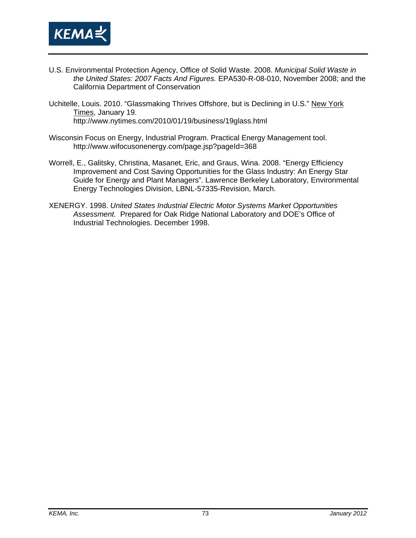

- U.S. Environmental Protection Agency, Office of Solid Waste. 2008. *Municipal Solid Waste in the United States: 2007 Facts And Figures.* EPA530-R-08-010, November 2008; and the California Department of Conservation
- Uchitelle, Louis. 2010. "Glassmaking Thrives Offshore, but is Declining in U.S." New York Times, January 19. http://www.nytimes.com/2010/01/19/business/19glass.html
- Wisconsin Focus on Energy, Industrial Program. Practical Energy Management tool. http://www.wifocusonenergy.com/page.jsp?pageId=368
- Worrell, E., Galitsky, Christina, Masanet, Eric, and Graus, Wina. 2008. "Energy Efficiency Improvement and Cost Saving Opportunities for the Glass Industry: An Energy Star Guide for Energy and Plant Managers". Lawrence Berkeley Laboratory, Environmental Energy Technologies Division, LBNL-57335-Revision, March.
- XENERGY. 1998. *United States Industrial Electric Motor Systems Market Opportunities Assessment.* Prepared for Oak Ridge National Laboratory and DOE's Office of Industrial Technologies. December 1998.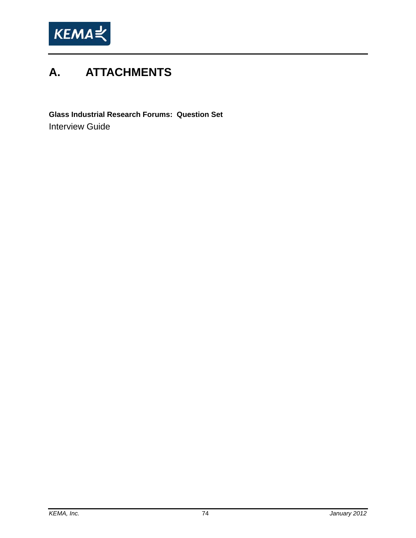

# **A. ATTACHMENTS**

**Glass Industrial Research Forums: Question Set**  Interview Guide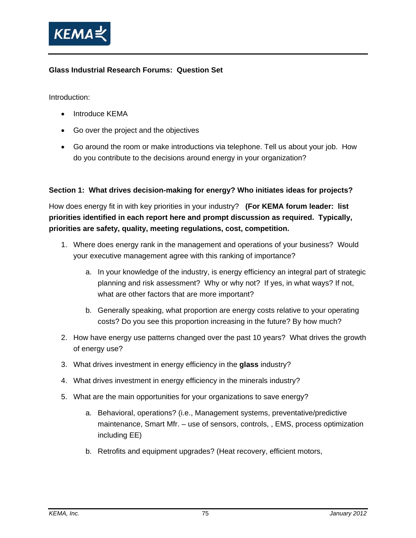

#### **Glass Industrial Research Forums: Question Set**

Introduction:

- Introduce KEMA
- Go over the project and the objectives
- Go around the room or make introductions via telephone. Tell us about your job. How do you contribute to the decisions around energy in your organization?

#### **Section 1: What drives decision-making for energy? Who initiates ideas for projects?**

How does energy fit in with key priorities in your industry? **(For KEMA forum leader: list priorities identified in each report here and prompt discussion as required. Typically, priorities are safety, quality, meeting regulations, cost, competition.** 

- 1. Where does energy rank in the management and operations of your business? Would your executive management agree with this ranking of importance?
	- a. In your knowledge of the industry, is energy efficiency an integral part of strategic planning and risk assessment? Why or why not? If yes, in what ways? If not, what are other factors that are more important?
	- b. Generally speaking, what proportion are energy costs relative to your operating costs? Do you see this proportion increasing in the future? By how much?
- 2. How have energy use patterns changed over the past 10 years? What drives the growth of energy use?
- 3. What drives investment in energy efficiency in the **glass** industry?
- 4. What drives investment in energy efficiency in the minerals industry?
- 5. What are the main opportunities for your organizations to save energy?
	- a. Behavioral, operations? (i.e., Management systems, preventative/predictive maintenance, Smart Mfr. – use of sensors, controls, , EMS, process optimization including EE)
	- b. Retrofits and equipment upgrades? (Heat recovery, efficient motors,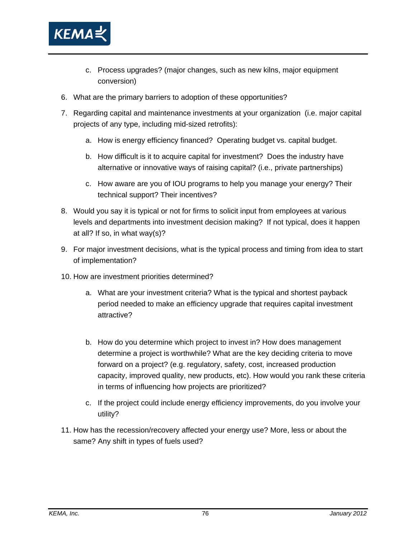

- c. Process upgrades? (major changes, such as new kilns, major equipment conversion)
- 6. What are the primary barriers to adoption of these opportunities?
- 7. Regarding capital and maintenance investments at your organization (i.e. major capital projects of any type, including mid-sized retrofits):
	- a. How is energy efficiency financed? Operating budget vs. capital budget.
	- b. How difficult is it to acquire capital for investment? Does the industry have alternative or innovative ways of raising capital? (i.e., private partnerships)
	- c. How aware are you of IOU programs to help you manage your energy? Their technical support? Their incentives?
- 8. Would you say it is typical or not for firms to solicit input from employees at various levels and departments into investment decision making? If not typical, does it happen at all? If so, in what way(s)?
- 9. For major investment decisions, what is the typical process and timing from idea to start of implementation?
- 10. How are investment priorities determined?
	- a. What are your investment criteria? What is the typical and shortest payback period needed to make an efficiency upgrade that requires capital investment attractive?
	- b. How do you determine which project to invest in? How does management determine a project is worthwhile? What are the key deciding criteria to move forward on a project? (e.g. regulatory, safety, cost, increased production capacity, improved quality, new products, etc). How would you rank these criteria in terms of influencing how projects are prioritized?
	- c. If the project could include energy efficiency improvements, do you involve your utility?
- 11. How has the recession/recovery affected your energy use? More, less or about the same? Any shift in types of fuels used?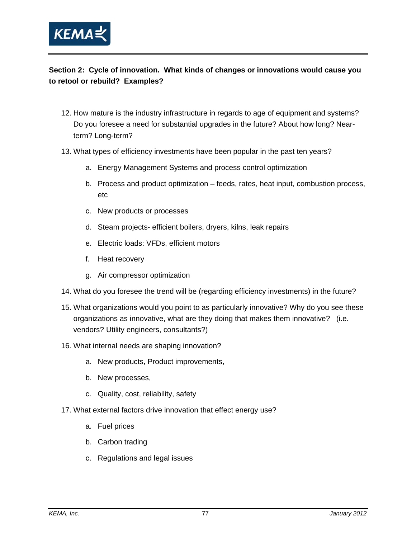

#### **Section 2: Cycle of innovation. What kinds of changes or innovations would cause you to retool or rebuild? Examples?**

- 12. How mature is the industry infrastructure in regards to age of equipment and systems? Do you foresee a need for substantial upgrades in the future? About how long? Nearterm? Long-term?
- 13. What types of efficiency investments have been popular in the past ten years?
	- a. Energy Management Systems and process control optimization
	- b. Process and product optimization feeds, rates, heat input, combustion process, etc
	- c. New products or processes
	- d. Steam projects- efficient boilers, dryers, kilns, leak repairs
	- e. Electric loads: VFDs, efficient motors
	- f. Heat recovery
	- g. Air compressor optimization
- 14. What do you foresee the trend will be (regarding efficiency investments) in the future?
- 15. What organizations would you point to as particularly innovative? Why do you see these organizations as innovative, what are they doing that makes them innovative? (i.e. vendors? Utility engineers, consultants?)
- 16. What internal needs are shaping innovation?
	- a. New products, Product improvements,
	- b. New processes,
	- c. Quality, cost, reliability, safety
- 17. What external factors drive innovation that effect energy use?
	- a. Fuel prices
	- b. Carbon trading
	- c. Regulations and legal issues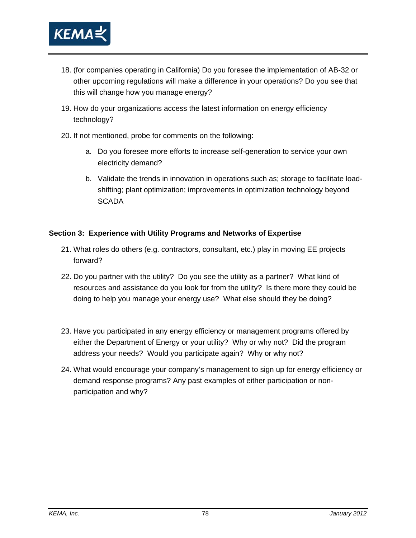

- 18. (for companies operating in California) Do you foresee the implementation of AB-32 or other upcoming regulations will make a difference in your operations? Do you see that this will change how you manage energy?
- 19. How do your organizations access the latest information on energy efficiency technology?
- 20. If not mentioned, probe for comments on the following:
	- a. Do you foresee more efforts to increase self-generation to service your own electricity demand?
	- b. Validate the trends in innovation in operations such as; storage to facilitate loadshifting; plant optimization; improvements in optimization technology beyond **SCADA**

#### **Section 3: Experience with Utility Programs and Networks of Expertise**

- 21. What roles do others (e.g. contractors, consultant, etc.) play in moving EE projects forward?
- 22. Do you partner with the utility? Do you see the utility as a partner? What kind of resources and assistance do you look for from the utility? Is there more they could be doing to help you manage your energy use? What else should they be doing?
- 23. Have you participated in any energy efficiency or management programs offered by either the Department of Energy or your utility? Why or why not? Did the program address your needs? Would you participate again? Why or why not?
- 24. What would encourage your company's management to sign up for energy efficiency or demand response programs? Any past examples of either participation or nonparticipation and why?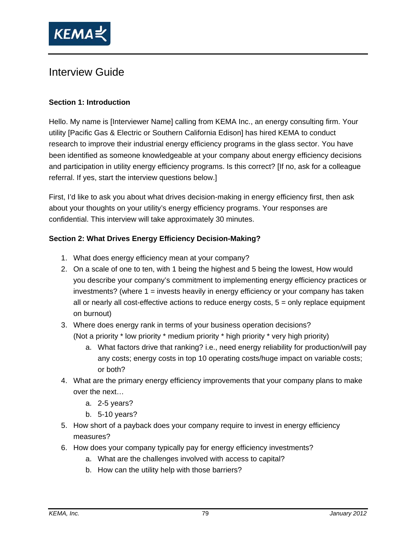

## Interview Guide

#### **Section 1: Introduction**

Hello. My name is [Interviewer Name] calling from KEMA Inc., an energy consulting firm. Your utility [Pacific Gas & Electric or Southern California Edison] has hired KEMA to conduct research to improve their industrial energy efficiency programs in the glass sector. You have been identified as someone knowledgeable at your company about energy efficiency decisions and participation in utility energy efficiency programs. Is this correct? [If no, ask for a colleague referral. If yes, start the interview questions below.]

First, I'd like to ask you about what drives decision-making in energy efficiency first, then ask about your thoughts on your utility's energy efficiency programs. Your responses are confidential. This interview will take approximately 30 minutes.

#### **Section 2: What Drives Energy Efficiency Decision-Making?**

- 1. What does energy efficiency mean at your company?
- 2. On a scale of one to ten, with 1 being the highest and 5 being the lowest, How would you describe your company's commitment to implementing energy efficiency practices or investments? (where 1 = invests heavily in energy efficiency or your company has taken all or nearly all cost-effective actions to reduce energy costs, 5 = only replace equipment on burnout)
- 3. Where does energy rank in terms of your business operation decisions? (Not a priority \* low priority \* medium priority \* high priority \* very high priority)
	- a. What factors drive that ranking? i.e., need energy reliability for production/will pay any costs; energy costs in top 10 operating costs/huge impact on variable costs; or both?
- 4. What are the primary energy efficiency improvements that your company plans to make over the next…
	- a. 2-5 years?
	- b. 5-10 years?
- 5. How short of a payback does your company require to invest in energy efficiency measures?
- 6. How does your company typically pay for energy efficiency investments?
	- a. What are the challenges involved with access to capital?
	- b. How can the utility help with those barriers?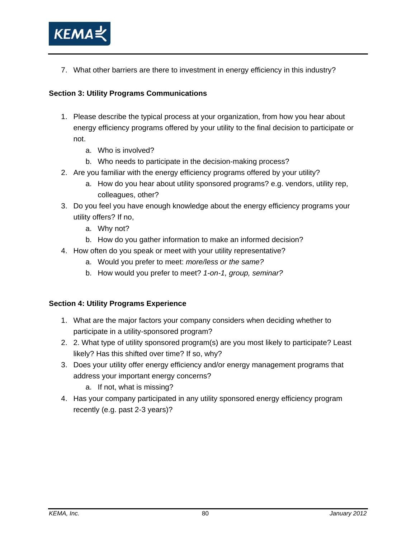

7. What other barriers are there to investment in energy efficiency in this industry?

#### **Section 3: Utility Programs Communications**

- 1. Please describe the typical process at your organization, from how you hear about energy efficiency programs offered by your utility to the final decision to participate or not.
	- a. Who is involved?
	- b. Who needs to participate in the decision-making process?
- 2. Are you familiar with the energy efficiency programs offered by your utility?
	- a. How do you hear about utility sponsored programs? e.g. vendors, utility rep, colleagues, other?
- 3. Do you feel you have enough knowledge about the energy efficiency programs your utility offers? If no,
	- a. Why not?
	- b. How do you gather information to make an informed decision?
- 4. How often do you speak or meet with your utility representative?
	- a. Would you prefer to meet: *more/less or the same?*
	- b. How would you prefer to meet? *1-on-1, group, seminar?*

#### **Section 4: Utility Programs Experience**

- 1. What are the major factors your company considers when deciding whether to participate in a utility-sponsored program?
- 2. 2. What type of utility sponsored program(s) are you most likely to participate? Least likely? Has this shifted over time? If so, why?
- 3. Does your utility offer energy efficiency and/or energy management programs that address your important energy concerns?
	- a. If not, what is missing?
- 4. Has your company participated in any utility sponsored energy efficiency program recently (e.g. past 2-3 years)?